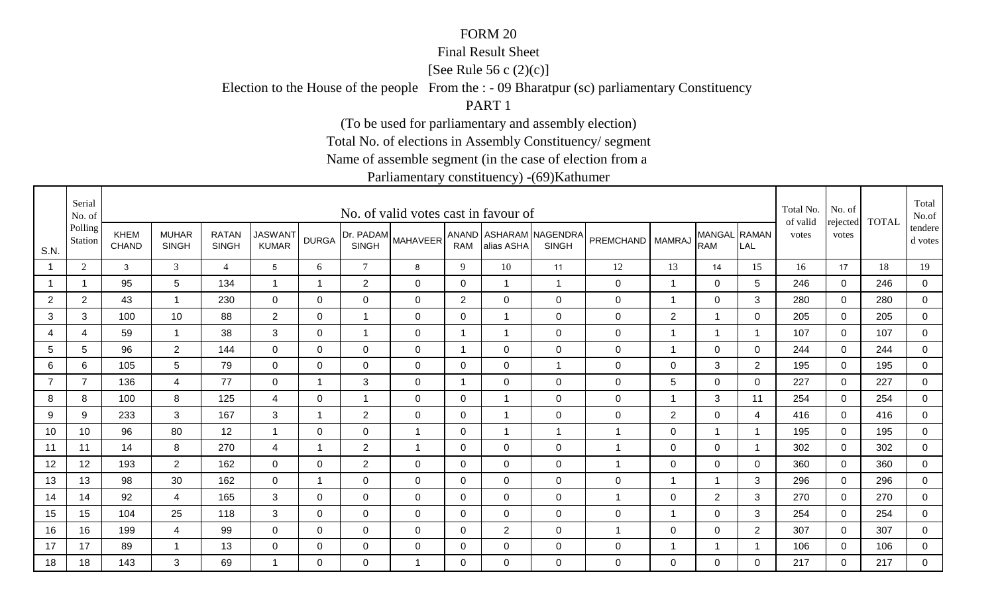### Final Result Sheet

[See Rule 56 c (2)(c)]

Election to the House of the people From the : - 09 Bharatpur (sc) parliamentary Constituency

PART 1

(To be used for parliamentary and assembly election)

Total No. of elections in Assembly Constituency/ segment

Name of assemble segment (in the case of election from a

|                | Serial<br>No. of   |                             |                              |                              |                                |                |                           | No. of valid votes cast in favour of |                |                |                                        |                  |                |                            |                | Total No.<br>of valid | No. of            | <b>TOTAL</b> | Total<br>No.of     |
|----------------|--------------------|-----------------------------|------------------------------|------------------------------|--------------------------------|----------------|---------------------------|--------------------------------------|----------------|----------------|----------------------------------------|------------------|----------------|----------------------------|----------------|-----------------------|-------------------|--------------|--------------------|
| S.N.           | Polling<br>Station | <b>KHEM</b><br><b>CHAND</b> | <b>MUHAR</b><br><b>SINGH</b> | <b>RATAN</b><br><b>SINGH</b> | <b>JASWANT</b><br><b>KUMAR</b> | <b>DURGA</b>   | Dr. PADAM<br><b>SINGH</b> | <b>MAHAVEER</b>                      | <b>RAM</b>     | alias ASHA     | ANAND ASHARAM NAGENDRA<br><b>SINGH</b> | PREMCHAND MAMRAJ |                | MANGAL RAMAN<br><b>RAM</b> | LAL            | votes                 | rejected<br>votes |              | tendere<br>d votes |
|                | 2                  | 3                           | 3                            | $\overline{4}$               | $5\overline{)}$                | 6              | $\tau$                    | 8                                    | 9              | 10             | 11                                     | 12               | 13             | 14                         | 15             | 16                    | 17                | 18           | 19                 |
|                |                    | 95                          | 5                            | 134                          | -1                             | $\overline{1}$ | $\mathbf{2}$              | $\mathbf 0$                          | $\mathbf 0$    |                | $\overline{1}$                         | $\boldsymbol{0}$ | $\mathbf{1}$   | $\overline{0}$             | 5              | 246                   | $\mathbf{0}$      | 246          | $\overline{0}$     |
| $\overline{2}$ | $\overline{2}$     | 43                          | $\mathbf 1$                  | 230                          | $\overline{0}$                 | 0              | $\mathbf 0$               | $\mathbf 0$                          | $\overline{2}$ | $\mathbf 0$    | $\mathbf 0$                            | 0                | $\overline{1}$ | 0                          | 3              | 280                   | 0                 | 280          | $\mathbf 0$        |
| 3              | 3                  | 100                         | 10                           | 88                           | $\overline{2}$                 | 0              | 1                         | $\mathbf 0$                          | 0              |                | $\mathbf 0$                            | $\mathbf 0$      | $\overline{2}$ |                            | $\mathbf 0$    | 205                   | $\mathbf 0$       | 205          | $\mathbf 0$        |
| 4              | $\overline{4}$     | 59                          | $\mathbf{1}$                 | 38                           | 3                              | $\Omega$       | $\mathbf{1}$              | $\mathbf 0$                          | $\mathbf 1$    |                | $\mathbf 0$                            | $\mathbf 0$      | $\overline{1}$ | $\overline{1}$             | -1             | 107                   | $\mathbf 0$       | 107          | $\overline{0}$     |
| 5              | 5                  | 96                          | $\overline{2}$               | 144                          | $\mathbf 0$                    | $\mathbf{0}$   | $\mathbf 0$               | $\mathbf 0$                          | $\mathbf{1}$   | $\overline{0}$ | $\mathbf 0$                            | $\boldsymbol{0}$ | $\mathbf{1}$   | $\mathbf 0$                | $\mathbf 0$    | 244                   | $\mathbf 0$       | 244          | $\overline{0}$     |
| 6              | 6                  | 105                         | 5                            | 79                           | $\overline{0}$                 | $\Omega$       | $\mathbf 0$               | $\mathbf 0$                          | $\mathbf 0$    | $\Omega$       | $\overline{1}$                         | $\boldsymbol{0}$ | $\mathbf 0$    | 3                          | $\overline{2}$ | 195                   | $\Omega$          | 195          | 0                  |
| $\overline{7}$ | $\overline{7}$     | 136                         | $\overline{4}$               | 77                           | $\overline{0}$                 | 1              | 3                         | $\mathbf 0$                          | $\mathbf 1$    | $\mathbf 0$    | $\mathbf 0$                            | $\mathbf 0$      | 5              | $\mathbf 0$                | 0              | 227                   | $\mathbf 0$       | 227          | 0                  |
| 8              | 8                  | 100                         | 8                            | 125                          | 4                              | 0              | -1                        | $\mathbf 0$                          | 0              |                | $\mathbf 0$                            | $\mathbf 0$      | $\mathbf 1$    | 3                          | 11             | 254                   | $\mathbf 0$       | 254          | $\mathbf 0$        |
| 9              | 9                  | 233                         | 3                            | 167                          | 3                              | $\overline{1}$ | $\overline{2}$            | $\mathbf 0$                          | $\mathbf 0$    |                | $\mathbf 0$                            | $\pmb{0}$        | 2              | $\mathbf 0$                | 4              | 416                   | $\mathbf 0$       | 416          | $\overline{0}$     |
| 10             | 10                 | 96                          | 80                           | 12                           | -1                             | $\mathbf 0$    | $\mathbf 0$               | $\overline{1}$                       | $\mathbf 0$    |                | $\overline{1}$                         | $\mathbf 1$      | $\mathbf 0$    | $\overline{1}$             |                | 195                   | $\mathbf 0$       | 195          | $\overline{0}$     |
| 11             | 11                 | 14                          | 8                            | 270                          | 4                              | $\mathbf 1$    | $\overline{2}$            | $\overline{1}$                       | $\mathbf{0}$   | $\Omega$       | $\mathbf 0$                            | $\mathbf{1}$     | $\Omega$       | $\mathbf 0$                | - 1            | 302                   | $\Omega$          | 302          | 0                  |
| 12             | 12                 | 193                         | $2^{\circ}$                  | 162                          | 0                              | $\Omega$       | $\overline{2}$            | 0                                    | 0              | $\Omega$       | $\mathbf 0$                            | 1                | 0              | $\overline{0}$             | $\Omega$       | 360                   | $\Omega$          | 360          | $\mathbf 0$        |
| 13             | 13                 | 98                          | 30                           | 162                          | 0                              | $\mathbf 1$    | 0                         | 0                                    | 0              | 0              | $\mathbf 0$                            | 0                | $\overline{1}$ | 1                          | 3              | 296                   | $\mathbf{0}$      | 296          | $\mathbf 0$        |
| 14             | 14                 | 92                          | $\overline{4}$               | 165                          | 3                              | 0              | 0                         | $\mathbf 0$                          | 0              | 0              | $\mathbf 0$                            | 1                | $\mathbf 0$    | $\overline{2}$             | 3              | 270                   | $\mathbf 0$       | 270          | $\mathbf 0$        |
| 15             | 15                 | 104                         | 25                           | 118                          | 3                              | 0              | $\mathbf 0$               | $\mathbf 0$                          | $\mathbf 0$    | $\mathbf 0$    | $\mathbf 0$                            | $\mathbf 0$      | $\overline{1}$ | $\mathbf 0$                | 3              | 254                   | $\mathbf 0$       | 254          | $\mathbf 0$        |
| 16             | 16                 | 199                         | 4                            | 99                           | 0                              | $\Omega$       | $\mathbf 0$               | 0                                    | $\mathbf 0$    | $\overline{2}$ | $\mathbf 0$                            | 1                | $\mathbf 0$    | 0                          | $\overline{2}$ | 307                   | 0                 | 307          | 0                  |
| 17             | 17                 | 89                          | $\mathbf{1}$                 | 13                           | $\mathbf 0$                    | 0              | $\mathbf 0$               | 0                                    | $\mathbf 0$    | 0              | $\mathbf 0$                            | $\mathbf 0$      | -1             |                            |                | 106                   | 0                 | 106          | $\overline{0}$     |
| 18             | 18                 | 143                         | 3                            | 69                           | -1                             | $\Omega$       | 0                         | $\mathbf 1$                          | $\mathbf{0}$   | $\Omega$       | $\mathbf 0$                            | $\mathbf 0$      | 0              | 0                          | 0              | 217                   | $\Omega$          | 217          | $\mathbf 0$        |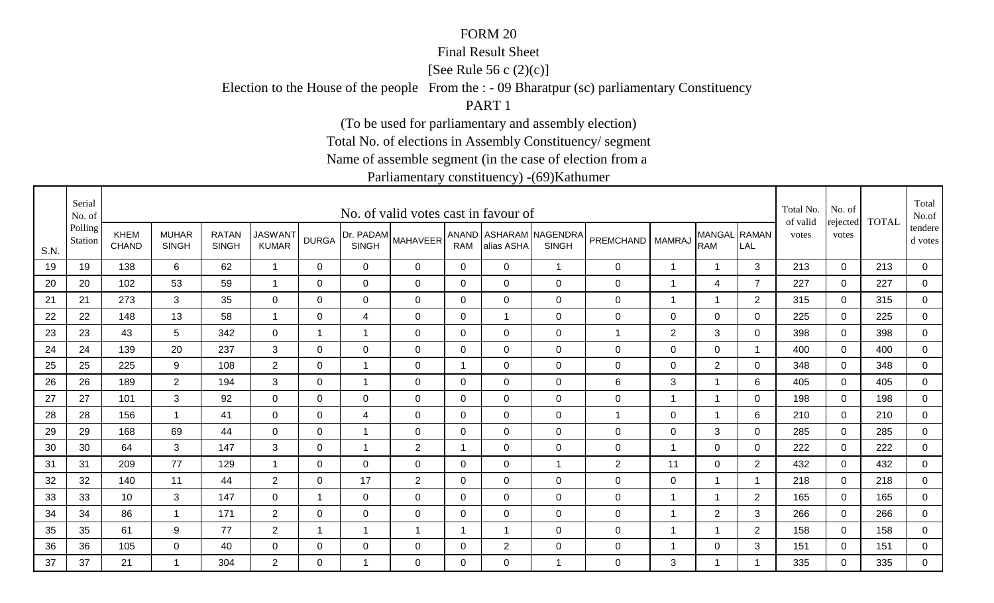### Final Result Sheet

[See Rule 56 c (2)(c)]

Election to the House of the people From the : - 09 Bharatpur (sc) parliamentary Constituency

PART 1

(To be used for parliamentary and assembly election)

Total No. of elections in Assembly Constituency/ segment

Name of assemble segment (in the case of election from a

|      | Serial<br>No. of   |                             |                              |                              |                                |                         |                           | No. of valid votes cast in favour of |                |                |                                        |                    |                |                            |                | Total No.<br>of valid | No. of<br>rejected | <b>TOTAL</b> | Total<br>No.of       |
|------|--------------------|-----------------------------|------------------------------|------------------------------|--------------------------------|-------------------------|---------------------------|--------------------------------------|----------------|----------------|----------------------------------------|--------------------|----------------|----------------------------|----------------|-----------------------|--------------------|--------------|----------------------|
| S.N. | Polling<br>Station | <b>KHEM</b><br><b>CHAND</b> | <b>MUHAR</b><br><b>SINGH</b> | <b>RATAN</b><br><b>SINGH</b> | <b>JASWANT</b><br><b>KUMAR</b> | <b>DURGA</b>            | Dr. PADAM<br><b>SINGH</b> | <b>MAHAVEER</b>                      | <b>RAM</b>     | alias ASHA     | ANAND ASHARAM NAGENDRA<br><b>SINGH</b> | PREMCHAND   MAMRAJ |                | MANGAL RAMAN<br><b>RAM</b> | LAL            | votes                 | votes              |              | tendere  <br>d votes |
| 19   | 19                 | 138                         | 6                            | 62                           | $\overline{1}$                 | $\mathbf{0}$            | 0                         | 0                                    | $\mathbf 0$    | $\Omega$       | $\overline{1}$                         | $\mathbf 0$        | $\mathbf{1}$   | $\mathbf 1$                | 3              | 213                   | $\mathbf 0$        | 213          | 0                    |
| 20   | 20                 | 102                         | 53                           | 59                           | -1                             | 0                       | 0                         | $\mathbf 0$                          | 0              | $\Omega$       | $\mathbf 0$                            | $\mathbf 0$        | $\mathbf 1$    | $\overline{4}$             | $\overline{7}$ | 227                   | 0                  | 227          | $\overline{0}$       |
| 21   | 21                 | 273                         | 3                            | 35                           | $\mathbf 0$                    | 0                       | $\mathbf 0$               | 0                                    | 0              | 0              | $\mathbf 0$                            | $\mathbf 0$        | -1             | $\mathbf 1$                | 2              | 315                   | 0                  | 315          | 0                    |
| 22   | 22                 | 148                         | 13                           | 58                           | -1                             | 0                       | 4                         | 0                                    | 0              |                | $\mathbf 0$                            | $\mathbf 0$        | 0              | $\mathbf 0$                | 0              | 225                   | $\Omega$           | 225          | 0                    |
| 23   | 23                 | 43                          | 5                            | 342                          | $\overline{0}$                 | $\mathbf 1$             | $\mathbf{1}$              | $\mathbf 0$                          | $\mathbf 0$    | $\Omega$       | $\mathbf 0$                            | $\mathbf{1}$       | 2              | 3                          | $\Omega$       | 398                   | $\Omega$           | 398          | $\overline{0}$       |
| 24   | 24                 | 139                         | 20                           | 237                          | 3                              | $\mathbf 0$             | $\mathbf 0$               | $\mathbf 0$                          | $\mathbf 0$    | $\overline{0}$ | $\mathbf 0$                            | $\boldsymbol{0}$   | $\mathbf 0$    | $\mathbf 0$                | $\overline{1}$ | 400                   | $\mathbf 0$        | 400          | $\overline{0}$       |
| 25   | 25                 | 225                         | 9                            | 108                          | $\overline{2}$                 | $\mathbf 0$             | $\overline{A}$            | $\mathbf 0$                          | $\overline{1}$ | $\mathbf 0$    | $\mathbf 0$                            | $\boldsymbol{0}$   | $\mathbf 0$    | $\overline{2}$             | $\Omega$       | 348                   | $\Omega$           | 348          | 0                    |
| 26   | 26                 | 189                         | $\overline{2}$               | 194                          | 3                              | 0                       | $\mathbf 1$               | $\mathbf 0$                          | 0              | $\overline{0}$ | $\mathbf 0$                            | 6                  | 3              | $\overline{1}$             | 6              | 405                   | $\mathbf 0$        | 405          | 0                    |
| 27   | 27                 | 101                         | 3                            | 92                           | $\mathbf 0$                    | $\Omega$                | 0                         | $\mathbf 0$                          | 0              | $\overline{0}$ | $\mathbf 0$                            | $\mathbf 0$        | -1             | 1                          | $\mathbf 0$    | 198                   | $\mathbf 0$        | 198          | 0                    |
| 28   | 28                 | 156                         | $\mathbf{1}$                 | 41                           | $\mathbf 0$                    | $\mathbf 0$             | $\overline{4}$            | $\mathbf 0$                          | $\mathbf 0$    | $\mathbf 0$    | $\mathbf 0$                            | $\mathbf{1}$       | $\mathbf 0$    | $\overline{1}$             | 6              | 210                   | $\mathbf 0$        | 210          | $\overline{0}$       |
| 29   | 29                 | 168                         | 69                           | 44                           | $\mathbf 0$                    | 0                       | $\mathbf 1$               | $\mathbf 0$                          | $\mathbf 0$    | 0              | $\mathbf 0$                            | 0                  | $\mathbf 0$    | $\mathbf{3}$               | 0              | 285                   | 0                  | 285          | $\mathbf 0$          |
| 30   | 30                 | 64                          | 3                            | 147                          | 3                              | 0                       | $\overline{1}$            | $\overline{2}$                       | $\overline{1}$ | $\overline{0}$ | $\mathbf 0$                            | $\mathbf 0$        | $\overline{1}$ | $\mathbf 0$                | $\mathbf 0$    | 222                   | $\mathbf 0$        | 222          | 0                    |
| 31   | 31                 | 209                         | 77                           | 129                          | -1                             | 0                       | $\mathbf 0$               | $\mathbf 0$                          | 0              | $\overline{0}$ | $\overline{1}$                         | $\overline{c}$     | 11             | $\mathbf 0$                | $\overline{2}$ | 432                   | $\mathbf 0$        | 432          | $\overline{0}$       |
| 32   | 32                 | 140                         | 11                           | 44                           | $\overline{2}$                 | $\Omega$                | 17                        | 2                                    | $\mathbf{0}$   | $\Omega$       | $\mathbf 0$                            | $\mathbf 0$        | $\mathbf 0$    | -1                         | - 1            | 218                   | $\Omega$           | 218          | 0                    |
| 33   | 33                 | 10                          | 3                            | 147                          | $\mathbf 0$                    | $\overline{1}$          | $\mathbf 0$               | $\mathbf 0$                          | $\mathbf 0$    | $\mathbf 0$    | $\mathbf 0$                            | $\boldsymbol{0}$   | $\overline{1}$ | $\overline{1}$             | $\overline{2}$ | 165                   | $\overline{0}$     | 165          | $\mathbf 0$          |
| 34   | 34                 | 86                          | $\mathbf 1$                  | 171                          | $\overline{2}$                 | 0                       | $\mathbf 0$               | $\mathbf 0$                          | 0              | 0              | $\mathbf 0$                            | $\mathbf 0$        | $\overline{1}$ | $\overline{2}$             | 3              | 266                   | $\Omega$           | 266          | $\overline{0}$       |
| 35   | 35                 | 61                          | 9                            | 77                           | $\overline{2}$                 | $\overline{\mathbf{1}}$ | 1                         | $\overline{1}$                       | -1             |                | $\mathbf 0$                            | 0                  | -1             |                            | $\overline{2}$ | 158                   | $\mathbf 0$        | 158          | 0                    |
| 36   | 36                 | 105                         | $\overline{0}$               | 40                           | $\mathbf 0$                    | 0                       | $\mathbf 0$               | 0                                    | 0              | $\overline{2}$ | $\mathbf 0$                            | $\mathbf 0$        | -1             | $\mathbf 0$                | 3              | 151                   | $\mathbf 0$        | 151          | $\overline{0}$       |
| 37   | 37                 | 21                          | $\mathbf{1}$                 | 304                          | $\overline{2}$                 | $\Omega$                | 1                         | $\Omega$                             | $\Omega$       | $\Omega$       | $\overline{1}$                         | 0                  | 3              |                            | -1             | 335                   | $\Omega$           | 335          | $\overline{0}$       |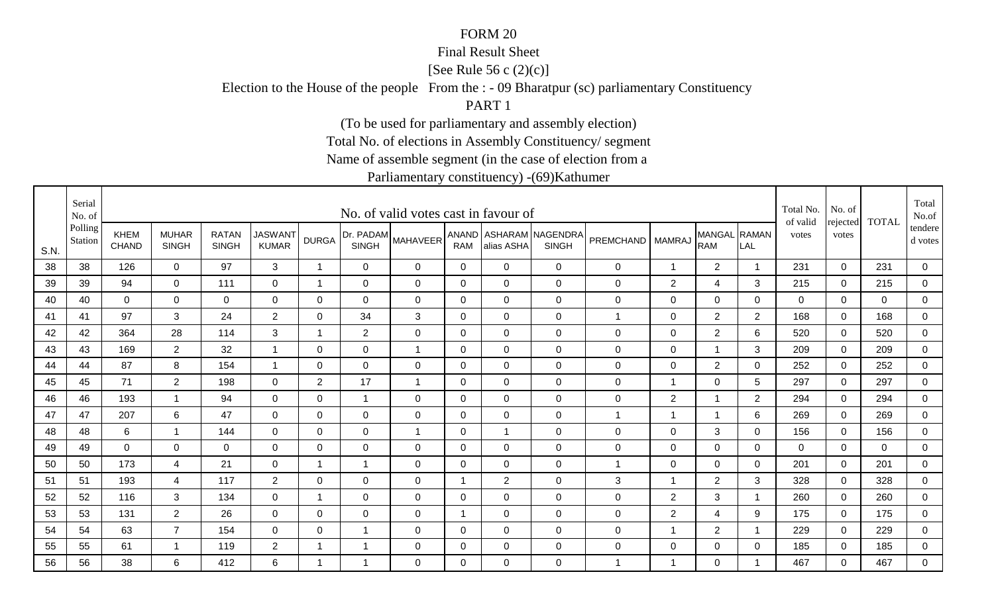### Final Result Sheet

[See Rule 56 c (2)(c)]

Election to the House of the people From the : - 09 Bharatpur (sc) parliamentary Constituency

PART 1

(To be used for parliamentary and assembly election)

Total No. of elections in Assembly Constituency/ segment

Name of assemble segment (in the case of election from a

|      | Serial<br>No. of   |                             |                              |                              |                                |                |                           | No. of valid votes cast in favour of |                |                |                                        |                    |                  |                            |                         | Total No.<br>of valid | No. of<br>rejected | <b>TOTAL</b> | Total<br>No.of       |
|------|--------------------|-----------------------------|------------------------------|------------------------------|--------------------------------|----------------|---------------------------|--------------------------------------|----------------|----------------|----------------------------------------|--------------------|------------------|----------------------------|-------------------------|-----------------------|--------------------|--------------|----------------------|
| S.N. | Polling<br>Station | <b>KHEM</b><br><b>CHAND</b> | <b>MUHAR</b><br><b>SINGH</b> | <b>RATAN</b><br><b>SINGH</b> | <b>JASWANT</b><br><b>KUMAR</b> | <b>DURGA</b>   | Dr. PADAM<br><b>SINGH</b> | <b>MAHAVEER</b>                      | <b>RAM</b>     | alias ASHA     | ANAND ASHARAM NAGENDRA<br><b>SINGH</b> | PREMCHAND   MAMRAJ |                  | MANGAL RAMAN<br><b>RAM</b> | LAL                     | votes                 | votes              |              | tendere  <br>d votes |
| 38   | 38                 | 126                         | $\overline{0}$               | 97                           | 3                              | 1              | $\mathbf 0$               | $\mathbf 0$                          | $\Omega$       | $\Omega$       | $\mathbf 0$                            | $\mathbf 0$        | $\overline{1}$   | $\overline{2}$             | $\overline{\mathbf{1}}$ | 231                   | $\mathbf 0$        | 231          | 0                    |
| 39   | 39                 | 94                          | $\mathbf 0$                  | 111                          | $\mathbf 0$                    | 1              | 0                         | $\mathbf 0$                          | 0              | $\mathbf 0$    | $\mathbf 0$                            | $\mathbf 0$        | $\overline{2}$   | $\overline{4}$             | 3                       | 215                   | 0                  | 215          | $\overline{0}$       |
| 40   | 40                 | $\mathbf 0$                 | 0                            | $\mathbf 0$                  | $\mathbf 0$                    | 0              | 0                         | 0                                    | 0              | $\mathbf 0$    | $\mathbf 0$                            | $\mathbf 0$        | 0                | 0                          | 0                       | 0                     | 0                  | 0            | 0                    |
| 41   | 41                 | 97                          | 3                            | 24                           | $\overline{2}$                 | 0              | 34                        | 3                                    | 0              | $\mathbf 0$    | $\mathbf 0$                            | 1                  | 0                | $\overline{2}$             | $\overline{2}$          | 168                   | $\mathbf{0}$       | 168          | 0                    |
| 42   | 42                 | 364                         | 28                           | 114                          | 3                              | $\mathbf 1$    | $\overline{2}$            | $\mathbf 0$                          | $\Omega$       | $\Omega$       | $\mathbf 0$                            | $\pmb{0}$          | $\mathbf 0$      | $\overline{2}$             | 6                       | 520                   | $\Omega$           | 520          | $\overline{0}$       |
| 43   | 43                 | 169                         | $\overline{2}$               | 32                           |                                | $\mathbf 0$    | $\mathbf 0$               | $\overline{1}$                       | $\mathbf 0$    | $\mathbf 0$    | $\mathbf 0$                            | $\pmb{0}$          | $\mathbf 0$      | $\overline{1}$             | 3                       | 209                   | $\mathbf 0$        | 209          | $\overline{0}$       |
| 44   | 44                 | 87                          | 8                            | 154                          |                                | $\mathbf 0$    | $\mathbf 0$               | $\mathbf 0$                          | $\mathbf 0$    | $\mathbf 0$    | $\mathbf 0$                            | $\pmb{0}$          | $\mathbf 0$      | $\overline{2}$             | 0                       | 252                   | $\mathbf 0$        | 252          | 0                    |
| 45   | 45                 | 71                          | $\overline{2}$               | 198                          | $\overline{0}$                 | $\overline{2}$ | 17                        | $\overline{1}$                       | $\mathbf 0$    | $\overline{0}$ | $\mathbf 0$                            | $\pmb{0}$          | 1                | $\mathbf 0$                | 5                       | 297                   | $\mathbf 0$        | 297          | $\mathbf 0$          |
| 46   | 46                 | 193                         | -1                           | 94                           | $\overline{0}$                 | $\Omega$       | $\mathbf 1$               | $\mathbf 0$                          | 0              | $\overline{0}$ | $\mathbf 0$                            | $\mathbf 0$        | $\overline{2}$   | 1                          | $\overline{2}$          | 294                   | $\mathbf 0$        | 294          | 0                    |
| 47   | 47                 | 207                         | 6                            | 47                           | $\mathbf 0$                    | $\mathbf 0$    | $\overline{0}$            | $\mathbf 0$                          | $\mathbf 0$    | $\mathbf 0$    | $\mathbf 0$                            | $\mathbf{1}$       | $\overline{1}$   | $\mathbf{1}$               | 6                       | 269                   | $\mathbf 0$        | 269          | $\overline{0}$       |
| 48   | 48                 | 6                           | -1                           | 144                          | $\mathbf 0$                    | 0              | $\mathbf 0$               | $\overline{1}$                       | 0              | $\overline{1}$ | $\mathbf 0$                            | 0                  | $\mathbf 0$      | $\mathbf{3}$               | 0                       | 156                   | $\mathbf 0$        | 156          | $\mathbf 0$          |
| 49   | 49                 | $\overline{0}$              | $\mathbf 0$                  | $\overline{0}$               | $\mathbf 0$                    | $\Omega$       | $\mathbf 0$               | $\mathbf 0$                          | 0              | $\mathbf 0$    | $\mathbf 0$                            | $\pmb{0}$          | $\mathbf 0$      | $\mathbf 0$                | 0                       | $\mathbf 0$           | $\Omega$           | $\mathbf 0$  | 0                    |
| 50   | 50                 | 173                         | 4                            | 21                           | $\overline{0}$                 | 1              | $\mathbf 1$               | $\mathbf 0$                          | 0              | $\mathbf 0$    | $\mathbf 0$                            | 1                  | $\mathbf 0$      | $\mathbf 0$                | 0                       | 201                   | $\mathbf 0$        | 201          | $\overline{0}$       |
| 51   | 51                 | 193                         | 4                            | 117                          | $\overline{2}$                 | 0              | $\overline{0}$            | $\mathbf 0$                          | -1             | $\overline{2}$ | $\mathbf 0$                            | $\mathbf{3}$       | $\overline{1}$   | $\overline{2}$             | 3                       | 328                   | $\mathbf 0$        | 328          | 0                    |
| 52   | 52                 | 116                         | 3                            | 134                          | $\mathbf 0$                    | 1              | $\mathbf 0$               | $\mathbf 0$                          | $\mathbf 0$    | $\mathbf 0$    | $\mathbf 0$                            | $\pmb{0}$          | $\overline{2}$   | $\mathfrak{Z}$             |                         | 260                   | $\mathbf{0}$       | 260          | $\mathbf 0$          |
| 53   | 53                 | 131                         | $\overline{2}$               | 26                           | $\mathbf 0$                    | 0              | $\mathbf 0$               | $\mathbf 0$                          | $\overline{1}$ | $\mathbf 0$    | $\mathbf 0$                            | $\mathbf 0$        | $\overline{2}$   | $\overline{4}$             | 9                       | 175                   | $\Omega$           | 175          | $\overline{0}$       |
| 54   | 54                 | 63                          | $\overline{7}$               | 154                          | $\mathbf 0$                    | 0              | -1                        | $\mathbf 0$                          | 0              | $\overline{0}$ | $\mathbf 0$                            | $\pmb{0}$          | -1               | $\overline{2}$             |                         | 229                   | $\mathbf 0$        | 229          | 0                    |
| 55   | 55                 | 61                          | -1                           | 119                          | $\overline{2}$                 | 1              | -1                        | $\mathbf 0$                          | 0              | $\mathbf 0$    | $\mathbf 0$                            | $\mathbf 0$        | $\boldsymbol{0}$ | $\mathbf 0$                | 0                       | 185                   | $\mathbf 0$        | 185          | $\overline{0}$       |
| 56   | 56                 | 38                          | 6                            | 412                          | 6                              | 1              | 1                         | $\Omega$                             | $\Omega$       | $\Omega$       | $\mathbf 0$                            | 1                  | $\overline{1}$   | 0                          |                         | 467                   | $\Omega$           | 467          | $\overline{0}$       |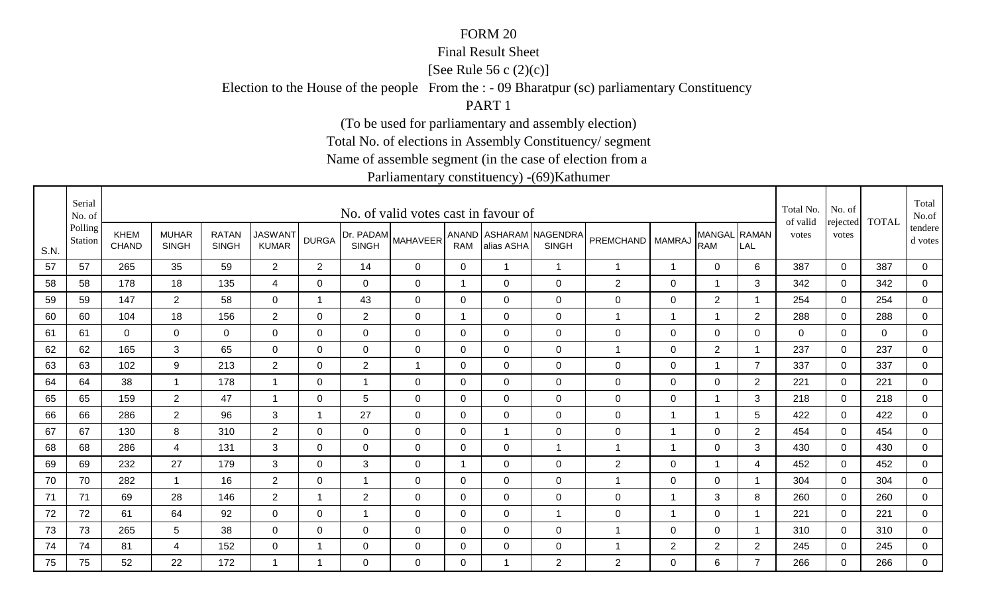### Final Result Sheet

[See Rule 56 c (2)(c)]

Election to the House of the people From the : - 09 Bharatpur (sc) parliamentary Constituency

PART 1

(To be used for parliamentary and assembly election)

Total No. of elections in Assembly Constituency/ segment

Name of assemble segment (in the case of election from a

|      | Serial<br>No. of   |                             |                              |                              |                                |                |                           | No. of valid votes cast in favour of |              |                |                                        |                    |                |                            |                | Total No.<br>of valid | No. of<br>rejected | <b>TOTAL</b> | Total<br>No.of       |
|------|--------------------|-----------------------------|------------------------------|------------------------------|--------------------------------|----------------|---------------------------|--------------------------------------|--------------|----------------|----------------------------------------|--------------------|----------------|----------------------------|----------------|-----------------------|--------------------|--------------|----------------------|
| S.N. | Polling<br>Station | <b>KHEM</b><br><b>CHAND</b> | <b>MUHAR</b><br><b>SINGH</b> | <b>RATAN</b><br><b>SINGH</b> | <b>JASWANT</b><br><b>KUMAR</b> | <b>DURGA</b>   | Dr. PADAM<br><b>SINGH</b> | <b>MAHAVEER</b>                      | <b>RAM</b>   | alias ASHA     | ANAND ASHARAM NAGENDRA<br><b>SINGH</b> | PREMCHAND   MAMRAJ |                | MANGAL RAMAN<br><b>RAM</b> | LAL            | votes                 | votes              |              | tendere  <br>d votes |
| 57   | 57                 | 265                         | 35                           | 59                           | $\overline{2}$                 | $\overline{2}$ | 14                        | 0                                    | $\mathbf 0$  | $\overline{1}$ | $\overline{1}$                         | 1                  | $\mathbf{1}$   | $\mathbf 0$                | 6              | 387                   | $\mathbf 0$        | 387          | 0                    |
| 58   | 58                 | 178                         | 18                           | 135                          | 4                              | $\Omega$       | 0                         | $\mathbf 0$                          | $\mathbf{1}$ | 0              | $\mathbf 0$                            | $\overline{2}$     | 0              | $\mathbf 1$                | 3              | 342                   | 0                  | 342          | $\overline{0}$       |
| 59   | 59                 | 147                         | $2^{\circ}$                  | 58                           | $\mathbf 0$                    | 1              | 43                        | 0                                    | 0            | 0              | $\mathbf 0$                            | $\mathbf 0$        | 0              | $\overline{2}$             | -1             | 254                   | 0                  | 254          | 0                    |
| 60   | 60                 | 104                         | 18                           | 156                          | $\overline{2}$                 | 0              | $\overline{2}$            | 0                                    | -1           | $\Omega$       | $\mathbf 0$                            | 1                  | $\mathbf 1$    |                            | $\overline{2}$ | 288                   | $\Omega$           | 288          | 0                    |
| 61   | 61                 | $\Omega$                    | $\overline{0}$               | $\overline{0}$               | $\overline{0}$                 | $\Omega$       | $\mathbf 0$               | $\mathbf 0$                          | $\mathbf 0$  | $\Omega$       | $\mathbf 0$                            | $\mathsf 0$        | $\mathbf 0$    | $\mathbf 0$                | $\Omega$       | $\Omega$              | $\Omega$           | $\Omega$     | $\overline{0}$       |
| 62   | 62                 | 165                         | 3                            | 65                           | $\mathbf 0$                    | $\mathbf 0$    | $\mathbf 0$               | $\mathbf 0$                          | $\mathbf 0$  | $\overline{0}$ | $\mathbf 0$                            | $\mathbf 1$        | $\mathbf 0$    | $\overline{2}$             | $\overline{1}$ | 237                   | $\mathbf 0$        | 237          | $\overline{0}$       |
| 63   | 63                 | 102                         | 9                            | 213                          | $\overline{2}$                 | $\mathbf 0$    | $\overline{2}$            | $\overline{1}$                       | $\mathbf 0$  | $\mathbf 0$    | $\mathbf 0$                            | $\mathsf 0$        | $\mathbf 0$    | $\overline{1}$             | $\overline{7}$ | 337                   | $\overline{0}$     | 337          | 0                    |
| 64   | 64                 | 38                          | $\mathbf{1}$                 | 178                          | $\overline{1}$                 | 0              | $\mathbf 1$               | $\mathbf 0$                          | 0            | $\overline{0}$ | $\mathbf 0$                            | $\pmb{0}$          | $\mathbf 0$    | $\mathbf 0$                | $\overline{2}$ | 221                   | $\mathbf 0$        | 221          | $\mathbf 0$          |
| 65   | 65                 | 159                         | $\overline{2}$               | 47                           | -1                             | 0              | 5                         | $\mathbf 0$                          | 0            | $\overline{0}$ | $\mathbf 0$                            | $\mathbf 0$        | $\mathbf 0$    |                            | 3              | 218                   | $\mathbf 0$        | 218          | 0                    |
| 66   | 66                 | 286                         | $\overline{2}$               | 96                           | 3                              | $\mathbf 1$    | 27                        | $\mathbf 0$                          | $\mathbf 0$  | $\mathbf 0$    | $\mathbf 0$                            | 0                  | $\overline{1}$ | $\overline{1}$             | 5              | 422                   | $\mathbf 0$        | 422          | $\overline{0}$       |
| 67   | 67                 | 130                         | 8                            | 310                          | $\overline{2}$                 | 0              | $\mathbf 0$               | $\mathbf 0$                          | $\mathbf 0$  |                | $\mathbf 0$                            | 0                  | $\overline{1}$ | $\mathbf 0$                | $\overline{2}$ | 454                   | $\overline{0}$     | 454          | $\overline{0}$       |
| 68   | 68                 | 286                         | 4                            | 131                          | 3                              | $\Omega$       | $\mathbf 0$               | $\mathbf 0$                          | 0            | $\Omega$       | $\overline{1}$                         | 1                  | $\overline{1}$ | $\mathbf 0$                | 3              | 430                   | $\mathbf 0$        | 430          | 0                    |
| 69   | 69                 | 232                         | 27                           | 179                          | 3                              | 0              | 3                         | $\mathbf 0$                          | -1           | $\overline{0}$ | $\mathbf 0$                            | $\overline{c}$     | $\mathbf 0$    |                            | 4              | 452                   | $\mathbf 0$        | 452          | $\overline{0}$       |
| 70   | 70                 | 282                         | $\mathbf{1}$                 | 16                           | $\overline{2}$                 | $\Omega$       | $\overline{1}$            | $\mathbf 0$                          | $\mathbf{0}$ | $\Omega$       | $\mathbf 0$                            | $\mathbf{1}$       | 0              | $\mathbf 0$                | - 1            | 304                   | $\Omega$           | 304          | 0                    |
| 71   | 71                 | 69                          | 28                           | 146                          | $\overline{2}$                 | $\overline{1}$ | $\sqrt{2}$                | $\mathbf 0$                          | $\mathbf 0$  | $\mathbf 0$    | $\mathbf 0$                            | $\boldsymbol{0}$   | $\overline{1}$ | $\mathbf{3}$               | 8              | 260                   | $\overline{0}$     | 260          | $\mathbf 0$          |
| 72   | 72                 | 61                          | 64                           | 92                           | $\overline{0}$                 | 0              | $\mathbf 1$               | $\mathbf 0$                          | 0            | 0              | $\overline{1}$                         | $\mathbf 0$        | $\overline{1}$ | 0                          | - 1            | 221                   | $\Omega$           | 221          | $\mathbf 0$          |
| 73   | 73                 | 265                         | $5\overline{)}$              | 38                           | $\mathbf 0$                    | 0              | $\mathbf 0$               | $\mathbf 0$                          | 0            | 0              | $\mathbf 0$                            | 1                  | $\mathbf 0$    | $\mathbf 0$                | -1             | 310                   | $\mathbf 0$        | 310          | 0                    |
| 74   | 74                 | 81                          | 4                            | 152                          | $\mathbf 0$                    | $\overline{1}$ | $\mathbf 0$               | $\mathbf 0$                          | 0            | 0              | $\mathbf 0$                            | 1                  | $\overline{2}$ | $\overline{2}$             | $\overline{2}$ | 245                   | $\mathbf 0$        | 245          | $\overline{0}$       |
| 75   | 75                 | 52                          | 22                           | 172                          | -1                             | -1             | 0                         | $\Omega$                             | $\Omega$     |                | 2                                      | 2                  | $\Omega$       | 6                          | $\overline{7}$ | 266                   | $\Omega$           | 266          | $\overline{0}$       |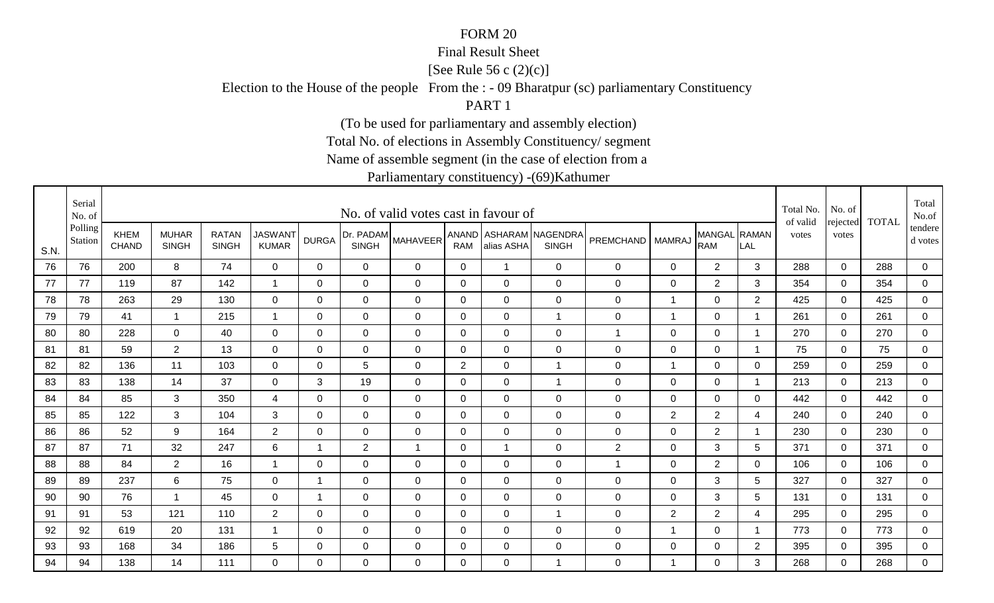### Final Result Sheet

[See Rule 56 c (2)(c)]

Election to the House of the people From the : - 09 Bharatpur (sc) parliamentary Constituency

PART 1

(To be used for parliamentary and assembly election)

Total No. of elections in Assembly Constituency/ segment

Name of assemble segment (in the case of election from a

|      | Serial<br>No. of   |                             |                              |                              |                                |                |                           | No. of valid votes cast in favour of |                |                |                                        |                  |                |                            |                         | Total No.<br>of valid | No. of<br>rejected | <b>TOTAL</b> | Total<br>No.of       |
|------|--------------------|-----------------------------|------------------------------|------------------------------|--------------------------------|----------------|---------------------------|--------------------------------------|----------------|----------------|----------------------------------------|------------------|----------------|----------------------------|-------------------------|-----------------------|--------------------|--------------|----------------------|
| S.N. | Polling<br>Station | <b>KHEM</b><br><b>CHAND</b> | <b>MUHAR</b><br><b>SINGH</b> | <b>RATAN</b><br><b>SINGH</b> | <b>JASWANT</b><br><b>KUMAR</b> | <b>DURGA</b>   | Dr. PADAM<br><b>SINGH</b> | <b>MAHAVEER</b>                      | <b>RAM</b>     | alias ASHA     | ANAND ASHARAM NAGENDRA<br><b>SINGH</b> | PREMCHAND        | <b>MAMRAJ</b>  | MANGAL RAMAN<br><b>RAM</b> | LAL                     | votes                 | votes              |              | tendere  <br>d votes |
| 76   | 76                 | 200                         | 8                            | 74                           | $\mathbf 0$                    | $\mathbf{0}$   | 0                         | 0                                    | $\mathbf 0$    | $\overline{1}$ | $\mathbf 0$                            | $\mathbf 0$      | 0              | $\overline{2}$             | 3                       | 288                   | $\mathbf 0$        | 288          | 0                    |
| 77   | 77                 | 119                         | 87                           | 142                          | -1                             | $\Omega$       | 0                         | $\mathbf 0$                          | 0              | $\Omega$       | $\mathbf 0$                            | 0                | 0              | 2                          | 3                       | 354                   | $\Omega$           | 354          | $\mathbf 0$          |
| 78   | 78                 | 263                         | 29                           | 130                          | $\mathbf 0$                    | 0              | $\mathbf 0$               | 0                                    | 0              | 0              | $\mathbf 0$                            | $\mathbf 0$      | $\overline{1}$ | 0                          | 2                       | 425                   | 0                  | 425          | 0                    |
| 79   | 79                 | 41                          | $\mathbf{1}$                 | 215                          | -1                             | 0              | 0                         | 0                                    | 0              | $\Omega$       | $\overline{1}$                         | $\mathbf 0$      | $\mathbf 1$    | $\mathbf 0$                | $\overline{\mathbf{1}}$ | 261                   | $\Omega$           | 261          | 0                    |
| 80   | 80                 | 228                         | $\overline{0}$               | 40                           | $\overline{0}$                 | $\Omega$       | $\mathbf 0$               | $\mathbf 0$                          | $\mathbf 0$    | $\Omega$       | $\mathbf 0$                            | 1                | $\mathbf 0$    | $\mathbf 0$                | -1                      | 270                   | $\Omega$           | 270          | $\overline{0}$       |
| 81   | 81                 | 59                          | $\overline{2}$               | 13                           | $\mathbf 0$                    | $\mathbf 0$    | $\mathbf 0$               | $\mathbf 0$                          | $\mathbf 0$    | $\overline{0}$ | $\mathbf 0$                            | $\boldsymbol{0}$ | $\mathbf 0$    | $\mathbf 0$                | $\overline{\mathbf{1}}$ | 75                    | $\mathbf 0$        | 75           | $\overline{0}$       |
| 82   | 82                 | 136                         | 11                           | 103                          | $\overline{0}$                 | $\mathbf 0$    | 5                         | $\mathbf 0$                          | $\overline{2}$ | $\mathbf 0$    | $\overline{1}$                         | $\boldsymbol{0}$ | $\overline{1}$ | $\mathbf 0$                | $\Omega$                | 259                   | $\mathbf 0$        | 259          | 0                    |
| 83   | 83                 | 138                         | 14                           | 37                           | $\overline{0}$                 | 3              | 19                        | $\mathbf 0$                          | $\mathbf 0$    | $\overline{0}$ | $\overline{1}$                         | 0                | $\mathbf 0$    | $\mathbf 0$                | -1                      | 213                   | $\mathbf 0$        | 213          | $\mathbf 0$          |
| 84   | 84                 | 85                          | 3                            | 350                          | $\overline{4}$                 | $\Omega$       | $\mathbf 0$               | $\mathbf 0$                          | 0              | $\overline{0}$ | $\mathbf 0$                            | $\mathbf 0$      | $\mathbf 0$    | $\mathbf 0$                | 0                       | 442                   | $\mathbf 0$        | 442          | 0                    |
| 85   | 85                 | 122                         | 3                            | 104                          | 3                              | $\Omega$       | $\mathbf 0$               | $\mathbf 0$                          | $\mathbf 0$    | $\overline{0}$ | $\mathbf 0$                            | 0                | 2              | $\overline{2}$             | 4                       | 240                   | $\mathbf 0$        | 240          | $\overline{0}$       |
| 86   | 86                 | 52                          | 9                            | 164                          | $\overline{2}$                 | 0              | 0                         | $\mathbf 0$                          | $\mathbf 0$    | $\mathbf 0$    | $\mathbf 0$                            | $\mathbf 0$      | $\mathbf 0$    | $\overline{2}$             | - 1                     | 230                   | 0                  | 230          | $\overline{0}$       |
| 87   | 87                 | 71                          | 32                           | 247                          | 6                              | 1              | $\mathbf{2}$              | $\overline{1}$                       | 0              |                | $\mathbf 0$                            | $\overline{2}$   | $\mathbf 0$    | 3                          | 5                       | 371                   | $\mathbf 0$        | 371          | 0                    |
| 88   | 88                 | 84                          | $\overline{2}$               | 16                           | -1                             | 0              | $\mathbf 0$               | $\mathbf 0$                          | 0              | $\Omega$       | $\mathbf 0$                            | 1                | $\mathbf 0$    | $\overline{2}$             | 0                       | 106                   | $\mathbf 0$        | 106          | $\overline{0}$       |
| 89   | 89                 | 237                         | 6                            | 75                           | $\mathbf 0$                    | $\mathbf 1$    | $\mathbf 0$               | $\mathbf 0$                          | $\mathbf{0}$   | $\Omega$       | $\mathbf 0$                            | $\mathbf 0$      | $\mathbf 0$    | 3                          | 5                       | 327                   | $\Omega$           | 327          | 0                    |
| 90   | 90                 | 76                          | $\mathbf{1}$                 | 45                           | $\mathbf 0$                    | $\overline{1}$ | $\mathbf 0$               | $\mathbf 0$                          | $\mathbf 0$    | $\mathbf 0$    | $\mathbf 0$                            | $\mathsf 0$      | $\mathbf 0$    | $\mathfrak{Z}$             | 5                       | 131                   | $\overline{0}$     | 131          | $\mathbf 0$          |
| 91   | 91                 | 53                          | 121                          | 110                          | $\overline{2}$                 | 0              | $\mathbf 0$               | $\mathbf 0$                          | 0              | 0              | $\overline{1}$                         | $\mathbf 0$      | $\overline{2}$ | $\overline{2}$             | 4                       | 295                   | $\Omega$           | 295          | $\overline{0}$       |
| 92   | 92                 | 619                         | 20                           | 131                          |                                | 0              | $\mathbf 0$               | $\mathbf 0$                          | 0              | 0              | $\mathbf 0$                            | 0                | -1             | $\mathbf 0$                | -1                      | 773                   | $\mathbf 0$        | 773          | 0                    |
| 93   | 93                 | 168                         | 34                           | 186                          | 5                              | 0              | $\mathbf 0$               | $\mathbf 0$                          | 0              | 0              | $\mathbf 0$                            | $\mathbf 0$      | $\mathbf 0$    | $\mathbf 0$                | $\overline{2}$          | 395                   | $\mathbf 0$        | 395          | $\overline{0}$       |
| 94   | 94                 | 138                         | 14                           | 111                          | $\Omega$                       | $\Omega$       | 0                         | $\Omega$                             | $\Omega$       | $\Omega$       | $\overline{1}$                         | 0                | $\overline{1}$ | 0                          | 3                       | 268                   | $\Omega$           | 268          | $\overline{0}$       |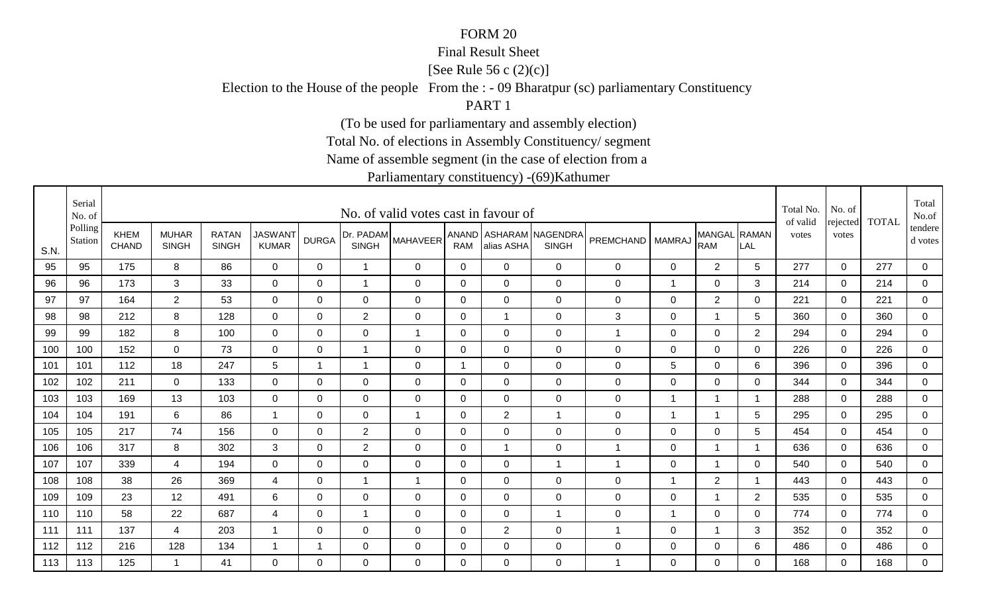### Final Result Sheet

[See Rule 56 c (2)(c)]

Election to the House of the people From the : - 09 Bharatpur (sc) parliamentary Constituency

PART 1

(To be used for parliamentary and assembly election)

Total No. of elections in Assembly Constituency/ segment

Name of assemble segment (in the case of election from a

|      | Serial<br>No. of   |                             |                              |                              |                                |              |                           | No. of valid votes cast in favour of |                |                |                                        |                  |                |                            |                | Total No.<br>of valid | No. of            | <b>TOTAL</b> | Total<br>No.of       |
|------|--------------------|-----------------------------|------------------------------|------------------------------|--------------------------------|--------------|---------------------------|--------------------------------------|----------------|----------------|----------------------------------------|------------------|----------------|----------------------------|----------------|-----------------------|-------------------|--------------|----------------------|
| S.N. | Polling<br>Station | <b>KHEM</b><br><b>CHAND</b> | <b>MUHAR</b><br><b>SINGH</b> | <b>RATAN</b><br><b>SINGH</b> | <b>JASWANT</b><br><b>KUMAR</b> | <b>DURGA</b> | Dr. PADAM<br><b>SINGH</b> | <b>MAHAVEER</b>                      | <b>RAM</b>     | alias ASHA     | ANAND ASHARAM NAGENDRA<br><b>SINGH</b> | <b>PREMCHAND</b> | <b>MAMRAJ</b>  | MANGAL RAMAN<br><b>RAM</b> | LAL            | votes                 | rejected<br>votes |              | tendere  <br>d votes |
| 95   | 95                 | 175                         | 8                            | 86                           | $\mathbf 0$                    | $\mathbf{0}$ | $\overline{ }$            | 0                                    | $\mathbf 0$    | $\Omega$       | $\mathbf 0$                            | $\mathbf 0$      | 0              | $\overline{2}$             | 5              | 277                   | $\mathbf 0$       | 277          | 0                    |
| 96   | 96                 | 173                         | 3                            | 33                           | $\mathbf 0$                    | 0            | $\mathbf 1$               | 0                                    | 0              | $\Omega$       | $\mathbf 0$                            | 0                | $\mathbf 1$    | 0                          | 3              | 214                   | 0                 | 214          | $\overline{0}$       |
| 97   | 97                 | 164                         | $2^{\circ}$                  | 53                           | 0                              | 0            | $\mathbf 0$               | 0                                    | 0              | 0              | $\mathbf 0$                            | $\mathbf 0$      | 0              | $\overline{2}$             | 0              | 221                   | 0                 | 221          | 0                    |
| 98   | 98                 | 212                         | 8                            | 128                          | 0                              | 0            | $\overline{2}$            | 0                                    | 0              |                | $\mathbf 0$                            | 3                | 0              |                            | 5              | 360                   | $\Omega$          | 360          | 0                    |
| 99   | 99                 | 182                         | 8                            | 100                          | $\overline{0}$                 | $\Omega$     | $\mathbf 0$               | $\mathbf{1}$                         | $\mathbf 0$    | $\Omega$       | $\mathbf 0$                            | 1                | $\mathbf 0$    | $\mathbf 0$                | $\overline{2}$ | 294                   | $\Omega$          | 294          | $\overline{0}$       |
| 100  | 100                | 152                         | $\overline{0}$               | 73                           | $\mathbf 0$                    | $\mathbf 0$  | 1                         | $\mathbf 0$                          | $\mathbf 0$    | $\overline{0}$ | $\mathbf 0$                            | $\mathsf 0$      | $\mathbf 0$    | $\mathbf 0$                | $\mathbf 0$    | 226                   | $\mathbf 0$       | 226          | $\overline{0}$       |
| 101  | 101                | 112                         | 18                           | 247                          | $\sqrt{5}$                     | -1           | $\overline{A}$            | $\mathbf 0$                          | $\overline{1}$ | $\mathbf 0$    | $\mathbf 0$                            | $\mathsf 0$      | 5              | $\mathbf 0$                | 6              | 396                   | $\mathbf 0$       | 396          | 0                    |
| 102  | 102                | 211                         | $\overline{0}$               | 133                          | $\overline{0}$                 | 0            | $\mathbf 0$               | $\mathbf 0$                          | 0              | $\mathbf 0$    | $\mathbf 0$                            | $\pmb{0}$        | $\mathbf 0$    | $\mathbf 0$                | 0              | 344                   | $\mathbf 0$       | 344          | $\mathbf 0$          |
| 103  | 103                | 169                         | 13                           | 103                          | $\mathbf 0$                    | $\Omega$     | $\mathbf 0$               | $\mathbf 0$                          | 0              | 0              | $\mathbf 0$                            | $\mathbf 0$      | -1             |                            | -1             | 288                   | $\mathbf 0$       | 288          | 0                    |
| 104  | 104                | 191                         | 6                            | 86                           | $\overline{1}$                 | $\mathbf 0$  | $\mathbf 0$               | $\overline{1}$                       | $\mathbf 0$    | $\overline{2}$ | $\overline{1}$                         | 0                | $\overline{1}$ | $\overline{1}$             | 5              | 295                   | $\mathbf 0$       | 295          | $\overline{0}$       |
| 105  | 105                | 217                         | 74                           | 156                          | $\mathbf 0$                    | 0            | $\overline{2}$            | $\mathbf 0$                          | 0              | $\mathbf 0$    | $\mathbf 0$                            | $\mathbf 0$      | $\mathbf 0$    | $\mathbf 0$                | 5              | 454                   | 0                 | 454          | $\mathbf 0$          |
| 106  | 106                | 317                         | 8                            | 302                          | 3                              | $\Omega$     | $\mathbf{2}$              | $\mathbf 0$                          | 0              |                | $\mathbf 0$                            | 1                | 0              |                            | -1             | 636                   | $\Omega$          | 636          | 0                    |
| 107  | 107                | 339                         | $\overline{4}$               | 194                          | $\overline{0}$                 | 0            | $\mathbf 0$               | $\mathbf 0$                          | 0              | $\Omega$       | $\overline{1}$                         | 1                | $\mathbf 0$    |                            | 0              | 540                   | $\mathbf 0$       | 540          | $\overline{0}$       |
| 108  | 108                | 38                          | 26                           | 369                          | 4                              | $\Omega$     | $\mathbf 1$               | $\overline{1}$                       | $\mathbf{0}$   | $\Omega$       | $\mathbf 0$                            | $\mathbf 0$      | -1             | $\overline{2}$             | -1             | 443                   | $\Omega$          | 443          | 0                    |
| 109  | 109                | 23                          | 12                           | 491                          | 6                              | $\mathbf 0$  | $\mathbf 0$               | $\mathbf 0$                          | $\mathbf 0$    | $\mathbf 0$    | $\mathbf 0$                            | $\boldsymbol{0}$ | $\mathbf 0$    | 1                          | $\overline{2}$ | 535                   | $\mathbf 0$       | 535          | $\mathbf 0$          |
| 110  | 110                | 58                          | 22                           | 687                          | 4                              | 0            | $\overline{1}$            | $\mathbf 0$                          | 0              | 0              | $\overline{1}$                         | $\mathbf 0$      | $\overline{1}$ | 0                          | 0              | 774                   | $\Omega$          | 774          | $\mathbf 0$          |
| 111  | 111                | 137                         | 4                            | 203                          |                                | 0            | $\mathbf 0$               | $\mathbf 0$                          | 0              | $\overline{2}$ | $\mathbf 0$                            | 1                | $\mathbf 0$    |                            | 3              | 352                   | $\mathbf 0$       | 352          | 0                    |
| 112  | 112                | 216                         | 128                          | 134                          | -1                             | 1            | $\mathbf 0$               | $\mathbf 0$                          | 0              | 0              | $\mathbf 0$                            | $\mathbf 0$      | $\mathbf 0$    | $\mathbf 0$                | 6              | 486                   | $\mathbf 0$       | 486          | $\overline{0}$       |
| 113  | 113                | 125                         | $\mathbf 1$                  | 41                           | $\Omega$                       | $\Omega$     | 0                         | $\Omega$                             | $\Omega$       | $\Omega$       | $\mathbf 0$                            | 1                | $\Omega$       | 0                          | $\Omega$       | 168                   | $\Omega$          | 168          | $\mathbf 0$          |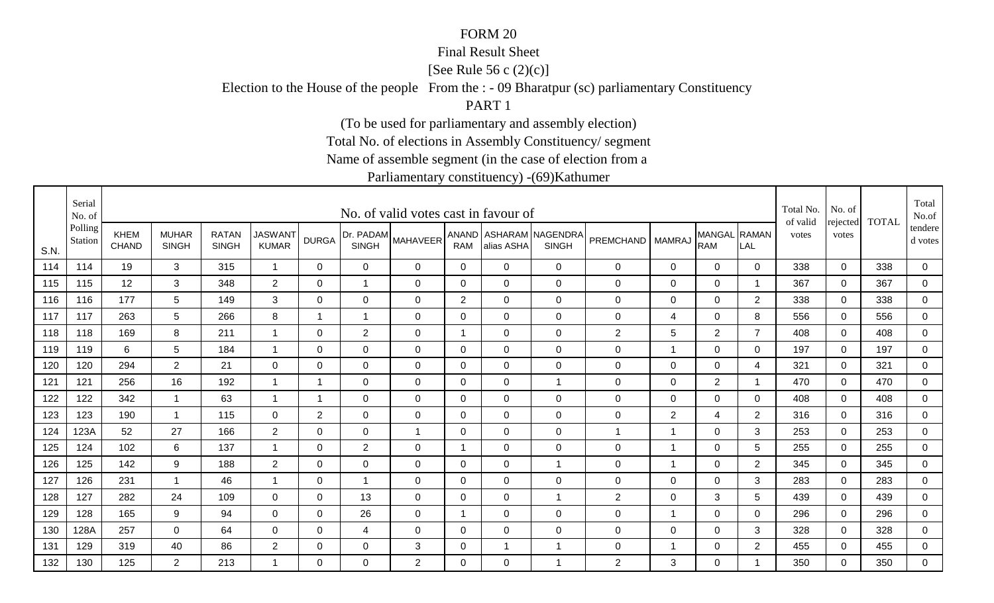### Final Result Sheet

[See Rule 56 c (2)(c)]

Election to the House of the people From the : - 09 Bharatpur (sc) parliamentary Constituency

PART 1

(To be used for parliamentary and assembly election)

Total No. of elections in Assembly Constituency/ segment

Name of assemble segment (in the case of election from a

|      | Serial<br>No. of   |                             |                              |                              |                                |                |                           | No. of valid votes cast in favour of |              |                |                                        |                  |                |                            |                         | Total No.<br>of valid | No. of            | <b>TOTAL</b> | Total<br>No.of       |
|------|--------------------|-----------------------------|------------------------------|------------------------------|--------------------------------|----------------|---------------------------|--------------------------------------|--------------|----------------|----------------------------------------|------------------|----------------|----------------------------|-------------------------|-----------------------|-------------------|--------------|----------------------|
| S.N. | Polling<br>Station | <b>KHEM</b><br><b>CHAND</b> | <b>MUHAR</b><br><b>SINGH</b> | <b>RATAN</b><br><b>SINGH</b> | <b>JASWANT</b><br><b>KUMAR</b> | <b>DURGA</b>   | Dr. PADAM<br><b>SINGH</b> | <b>MAHAVEER</b>                      | <b>RAM</b>   | alias ASHA     | ANAND ASHARAM NAGENDRA<br><b>SINGH</b> | <b>PREMCHAND</b> | <b>MAMRAJ</b>  | MANGAL RAMAN<br><b>RAM</b> | LAL                     | votes                 | rejected<br>votes |              | tendere  <br>d votes |
| 114  | 114                | 19                          | 3                            | 315                          | $\overline{1}$                 | $\mathbf{0}$   | 0                         | 0                                    | $\mathbf 0$  | $\Omega$       | $\mathbf 0$                            | $\mathbf 0$      | 0              | $\overline{0}$             | 0                       | 338                   | $\mathbf 0$       | 338          | 0                    |
| 115  | 115                | 12                          | 3                            | 348                          | $\overline{2}$                 | 0              | 1                         | 0                                    | $\mathbf 0$  | $\Omega$       | $\mathbf 0$                            | 0                | 0              | 0                          | - 1                     | 367                   | 0                 | 367          | $\mathbf 0$          |
| 116  | 116                | 177                         | 5                            | 149                          | 3                              | 0              | 0                         | 0                                    | 2            | 0              | $\mathbf 0$                            | $\mathbf 0$      | 0              | 0                          | 2                       | 338                   | 0                 | 338          | 0                    |
| 117  | 117                | 263                         | 5                            | 266                          | 8                              | $\mathbf 1$    | 1                         | 0                                    | 0            | $\Omega$       | $\mathbf 0$                            | $\mathbf 0$      | 4              | $\mathbf 0$                | 8                       | 556                   | $\Omega$          | 556          | 0                    |
| 118  | 118                | 169                         | 8                            | 211                          | $\overline{1}$                 | $\Omega$       | $\overline{2}$            | $\mathbf 0$                          | $\mathbf 1$  | $\Omega$       | $\mathbf 0$                            | $\mathbf{2}$     | 5              | $\overline{2}$             | $\overline{7}$          | 408                   | $\Omega$          | 408          | $\overline{0}$       |
| 119  | 119                | 6                           | 5                            | 184                          | $\overline{1}$                 | $\mathbf 0$    | $\mathbf 0$               | $\mathbf 0$                          | $\mathbf 0$  | $\mathbf 0$    | $\mathbf 0$                            | $\mathsf 0$      | $\overline{1}$ | $\mathbf 0$                | $\mathbf 0$             | 197                   | $\mathbf 0$       | 197          | $\overline{0}$       |
| 120  | 120                | 294                         | $\overline{2}$               | 21                           | $\mathbf 0$                    | $\mathbf 0$    | $\mathbf 0$               | $\mathbf 0$                          | $\mathbf 0$  | $\Omega$       | $\mathbf 0$                            | $\mathsf 0$      | $\mathbf 0$    | $\mathbf 0$                | 4                       | 321                   | $\overline{0}$    | 321          | 0                    |
| 121  | 121                | 256                         | 16                           | 192                          | $\overline{1}$                 | 1              | $\mathbf 0$               | $\mathbf 0$                          | 0            | $\mathbf 0$    | $\overline{1}$                         | $\pmb{0}$        | $\mathbf 0$    | $\overline{2}$             | $\overline{\mathbf{1}}$ | 470                   | $\mathbf 0$       | 470          | 0                    |
| 122  | 122                | 342                         | $\mathbf 1$                  | 63                           | -1                             | -1             | 0                         | $\mathbf 0$                          | 0            | $\Omega$       | $\mathbf 0$                            | $\mathbf 0$      | $\mathbf 0$    | $\mathbf 0$                | $\Omega$                | 408                   | $\mathbf 0$       | 408          | 0                    |
| 123  | 123                | 190                         | $\mathbf{1}$                 | 115                          | $\mathbf 0$                    | $\overline{2}$ | $\mathbf 0$               | $\mathbf 0$                          | $\mathbf 0$  | $\mathbf 0$    | $\mathbf 0$                            | 0                | 2              | $\overline{4}$             | $\overline{2}$          | 316                   | $\mathbf 0$       | 316          | $\overline{0}$       |
| 124  | 123A               | 52                          | 27                           | 166                          | $\overline{2}$                 | 0              | $\mathbf 0$               | $\overline{1}$                       | 0            | 0              | $\mathbf 0$                            | $\mathbf{1}$     | $\overline{1}$ | 0                          | 3                       | 253                   | 0                 | 253          | $\overline{0}$       |
| 125  | 124                | 102                         | 6                            | 137                          | -1                             | $\Omega$       | $\mathbf{2}$              | $\mathbf 0$                          | -1           | $\mathbf 0$    | $\mathbf 0$                            | $\mathbf 0$      | $\overline{1}$ | 0                          | 5                       | 255                   | $\Omega$          | 255          | 0                    |
| 126  | 125                | 142                         | 9                            | 188                          | $\overline{2}$                 | 0              | $\mathbf 0$               | $\mathbf 0$                          | 0            | $\overline{0}$ | $\overline{1}$                         | 0                | -1             | 0                          | $\overline{2}$          | 345                   | $\mathbf 0$       | 345          | $\overline{0}$       |
| 127  | 126                | 231                         | $\mathbf 1$                  | 46                           | -1                             | $\Omega$       | $\overline{1}$            | $\mathbf 0$                          | $\mathbf{0}$ | $\Omega$       | $\mathbf 0$                            | $\mathbf 0$      | $\mathbf 0$    | $\mathbf 0$                | 3                       | 283                   | $\Omega$          | 283          | 0                    |
| 128  | 127                | 282                         | 24                           | 109                          | $\mathbf 0$                    | $\mathbf 0$    | 13                        | $\mathbf 0$                          | $\mathbf 0$  | $\mathbf 0$    | $\overline{1}$                         | $\overline{2}$   | $\mathbf 0$    | $\mathbf{3}$               | 5                       | 439                   | $\overline{0}$    | 439          | $\mathbf 0$          |
| 129  | 128                | 165                         | 9                            | 94                           | $\mathbf 0$                    | 0              | 26                        | $\mathbf 0$                          | $\mathbf 1$  | 0              | $\mathbf 0$                            | $\mathbf 0$      | $\overline{1}$ | 0                          | $\overline{0}$          | 296                   | $\mathbf{0}$      | 296          | $\overline{0}$       |
| 130  | 128A               | 257                         | $\overline{0}$               | 64                           | $\mathbf 0$                    | 0              | 4                         | $\mathbf 0$                          | 0            | 0              | $\mathbf 0$                            | $\mathbf 0$      | $\mathbf 0$    | 0                          | 3                       | 328                   | $\mathbf 0$       | 328          | 0                    |
| 131  | 129                | 319                         | 40                           | 86                           | $\overline{2}$                 | 0              | $\mathbf 0$               | 3                                    | 0            |                | $\overline{1}$                         | $\mathbf 0$      | -1             | $\mathbf 0$                | $\overline{2}$          | 455                   | $\mathbf 0$       | 455          | $\overline{0}$       |
| 132  | 130                | 125                         | $\overline{2}$               | 213                          | -1                             | $\Omega$       | 0                         | 2                                    | $\Omega$     | $\Omega$       | -1                                     | 2                | 3              | 0                          | -1                      | 350                   | $\Omega$          | 350          | $\mathbf 0$          |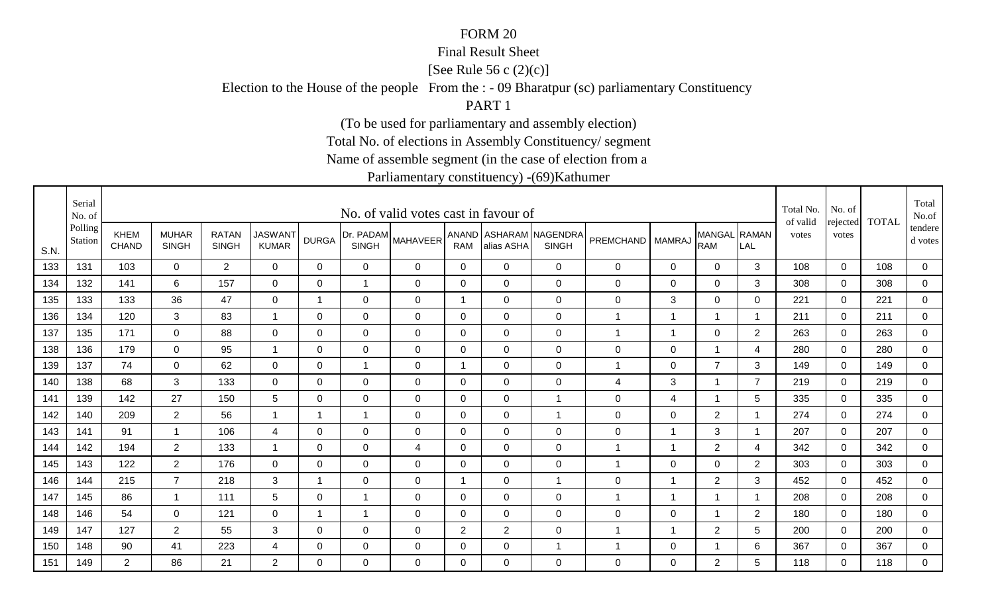### Final Result Sheet

[See Rule 56 c (2)(c)]

Election to the House of the people From the : - 09 Bharatpur (sc) parliamentary Constituency

PART 1

(To be used for parliamentary and assembly election)

Total No. of elections in Assembly Constituency/ segment

Name of assemble segment (in the case of election from a

|      | Serial<br>No. of   |                             |                              |                              |                                |              |                           | No. of valid votes cast in favour of |                |                |                                        |                  |                |                            |                         | Total No.<br>of valid | No. of<br>rejected | <b>TOTAL</b> | Total<br>No.of       |
|------|--------------------|-----------------------------|------------------------------|------------------------------|--------------------------------|--------------|---------------------------|--------------------------------------|----------------|----------------|----------------------------------------|------------------|----------------|----------------------------|-------------------------|-----------------------|--------------------|--------------|----------------------|
| S.N. | Polling<br>Station | <b>KHEM</b><br><b>CHAND</b> | <b>MUHAR</b><br><b>SINGH</b> | <b>RATAN</b><br><b>SINGH</b> | <b>JASWANT</b><br><b>KUMAR</b> | <b>DURGA</b> | Dr. PADAM<br><b>SINGH</b> | <b>MAHAVEER</b>                      | <b>RAM</b>     | alias ASHA     | ANAND ASHARAM NAGENDRA<br><b>SINGH</b> | <b>PREMCHAND</b> | <b>MAMRAJ</b>  | MANGAL RAMAN<br><b>RAM</b> | LAL                     | votes                 | votes              |              | tendere  <br>d votes |
| 133  | 131                | 103                         | $\Omega$                     | $\overline{2}$               | $\mathbf 0$                    | $\Omega$     | 0                         | 0                                    | $\mathbf 0$    | $\Omega$       | $\mathbf 0$                            | $\mathbf 0$      | 0              | $\overline{0}$             | 3                       | 108                   | $\mathbf 0$        | 108          | 0                    |
| 134  | 132                | 141                         | 6                            | 157                          | 0                              | 0            | 1                         | $\mathbf 0$                          | 0              | $\Omega$       | $\mathbf 0$                            | 0                | 0              | 0                          | 3                       | 308                   | 0                  | 308          | $\overline{0}$       |
| 135  | 133                | 133                         | 36                           | 47                           | 0                              | 1            | $\mathbf 0$               | 0                                    | $\mathbf 1$    | 0              | $\mathbf 0$                            | $\mathbf 0$      | 3              | 0                          | 0                       | 221                   | 0                  | 221          | 0                    |
| 136  | 134                | 120                         | 3                            | 83                           | -1                             | 0            | 0                         | 0                                    | 0              | $\Omega$       | $\mathbf 0$                            | 1                | $\mathbf 1$    |                            |                         | 211                   | $\Omega$           | 211          | 0                    |
| 137  | 135                | 171                         | $\overline{0}$               | 88                           | $\overline{0}$                 | $\Omega$     | $\mathbf 0$               | $\mathbf 0$                          | $\mathbf 0$    | $\Omega$       | $\mathbf 0$                            | 1                | $\mathbf 1$    | $\mathbf 0$                | $\overline{2}$          | 263                   | $\Omega$           | 263          | $\overline{0}$       |
| 138  | 136                | 179                         | $\overline{0}$               | 95                           | $\overline{1}$                 | $\mathbf 0$  | $\mathbf 0$               | $\mathbf 0$                          | $\mathbf 0$    | $\mathbf 0$    | $\mathbf 0$                            | $\mathbf 0$      | $\mathbf 0$    | 1                          | 4                       | 280                   | $\overline{0}$     | 280          | $\overline{0}$       |
| 139  | 137                | 74                          | $\overline{0}$               | 62                           | $\overline{0}$                 | $\mathbf 0$  | $\overline{A}$            | $\mathbf 0$                          | $\overline{1}$ | $\mathbf 0$    | $\mathbf 0$                            | 1                | $\mathbf 0$    | $\overline{7}$             | 3                       | 149                   | $\Omega$           | 149          | 0                    |
| 140  | 138                | 68                          | 3                            | 133                          | $\overline{0}$                 | 0            | $\mathbf 0$               | $\mathbf 0$                          | 0              | $\mathbf 0$    | $\mathbf 0$                            | 4                | 3              | $\mathbf 1$                | $\overline{7}$          | 219                   | $\mathbf 0$        | 219          | 0                    |
| 141  | 139                | 142                         | 27                           | 150                          | 5                              | 0            | 0                         | $\mathbf 0$                          | 0              | $\mathbf 0$    | $\overline{1}$                         | $\mathbf 0$      | 4              | 1                          | 5                       | 335                   | $\mathbf 0$        | 335          | 0                    |
| 142  | 140                | 209                         | $\overline{2}$               | 56                           | $\overline{1}$                 | $\mathbf 1$  | $\mathbf{1}$              | $\mathbf 0$                          | $\mathbf 0$    | $\mathbf 0$    | $\overline{1}$                         | 0                | $\mathbf 0$    | $\overline{2}$             | $\overline{\mathbf{1}}$ | 274                   | $\mathbf 0$        | 274          | $\overline{0}$       |
| 143  | 141                | 91                          | $\mathbf{1}$                 | 106                          | 4                              | 0            | $\mathbf 0$               | $\mathbf 0$                          | $\mathbf 0$    | 0              | $\mathbf 0$                            | $\mathbf 0$      | $\overline{1}$ | $\mathbf{3}$               | - 1                     | 207                   | 0                  | 207          | $\overline{0}$       |
| 144  | 142                | 194                         | $\overline{2}$               | 133                          | -1                             | $\Omega$     | $\mathbf 0$               | 4                                    | 0              | $\overline{0}$ | $\mathbf 0$                            | 1                | $\overline{1}$ | $\overline{2}$             | 4                       | 342                   | $\Omega$           | 342          | 0                    |
| 145  | 143                | 122                         | $\overline{2}$               | 176                          | $\mathbf 0$                    | 0            | $\mathbf 0$               | $\mathbf 0$                          | 0              | $\Omega$       | $\mathbf 0$                            | 1                | $\mathbf 0$    | 0                          | $\overline{2}$          | 303                   | $\mathbf 0$        | 303          | $\overline{0}$       |
| 146  | 144                | 215                         | $\overline{7}$               | 218                          | 3                              | $\mathbf 1$  | 0                         | $\mathbf 0$                          | -1             | $\Omega$       | $\overline{1}$                         | $\mathbf 0$      | -1             | 2                          | 3                       | 452                   | $\Omega$           | 452          | 0                    |
| 147  | 145                | 86                          | $\overline{1}$               | 111                          | 5                              | $\mathbf 0$  | $\overline{ }$            | $\mathbf 0$                          | $\mathbf 0$    | $\mathbf 0$    | $\mathbf 0$                            | 1                | $\overline{1}$ | 1                          |                         | 208                   | $\overline{0}$     | 208          | $\mathbf 0$          |
| 148  | 146                | 54                          | 0                            | 121                          | $\mathbf 0$                    | $\mathbf 1$  | 1                         | $\mathbf 0$                          | 0              | 0              | $\mathbf 0$                            | $\mathbf 0$      | $\mathbf 0$    | $\mathbf{1}$               | $\overline{2}$          | 180                   | $\Omega$           | 180          | $\mathbf 0$          |
| 149  | 147                | 127                         | $\overline{2}$               | 55                           | 3                              | 0            | $\mathbf 0$               | $\mathbf 0$                          | $\overline{2}$ | $\overline{2}$ | $\mathbf 0$                            | 1                | -1             | $\overline{2}$             | 5                       | 200                   | $\mathbf 0$        | 200          | 0                    |
| 150  | 148                | 90                          | 41                           | 223                          | 4                              | 0            | $\mathbf 0$               | $\mathbf 0$                          | 0              | 0              | $\overline{1}$                         | 1                | 0              |                            | 6                       | 367                   | $\mathbf 0$        | 367          | $\overline{0}$       |
| 151  | 149                | 2                           | 86                           | 21                           | $\overline{2}$                 | $\Omega$     | 0                         | $\Omega$                             | $\Omega$       | $\Omega$       | $\mathbf 0$                            | 0                | $\Omega$       | 2                          | 5                       | 118                   | $\Omega$           | 118          | $\mathbf 0$          |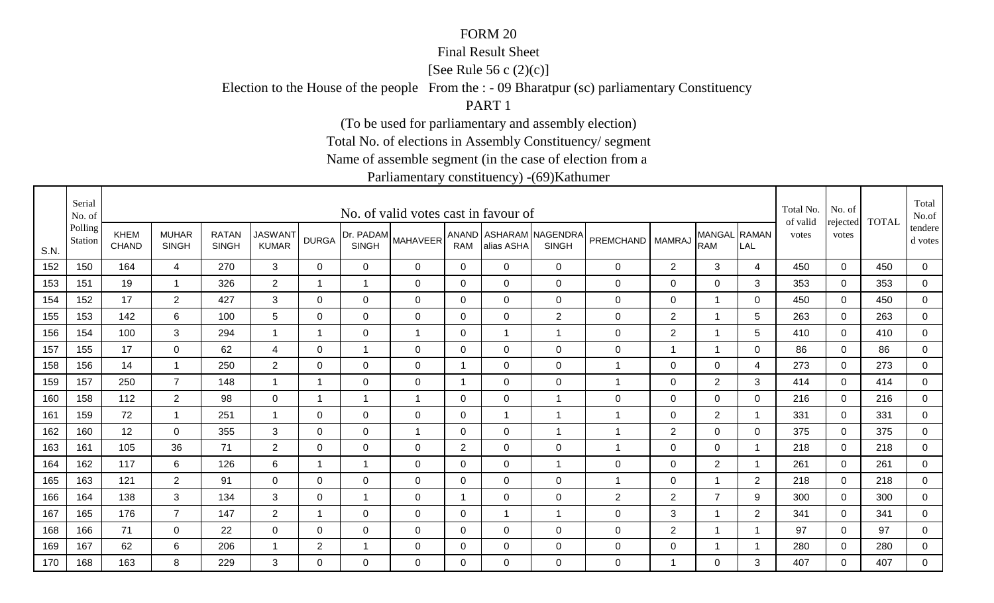### Final Result Sheet

[See Rule 56 c (2)(c)]

Election to the House of the people From the : - 09 Bharatpur (sc) parliamentary Constituency

PART 1

(To be used for parliamentary and assembly election)

Total No. of elections in Assembly Constituency/ segment

Name of assemble segment (in the case of election from a

|      | Serial<br>No. of   |                             |                              |                              |                                |                |                           | No. of valid votes cast in favour of |                |                |                                        |                  |                |                            |                         | Total No.<br>of valid | No. of            | <b>TOTAL</b> | Total<br>No.of       |
|------|--------------------|-----------------------------|------------------------------|------------------------------|--------------------------------|----------------|---------------------------|--------------------------------------|----------------|----------------|----------------------------------------|------------------|----------------|----------------------------|-------------------------|-----------------------|-------------------|--------------|----------------------|
| S.N. | Polling<br>Station | <b>KHEM</b><br><b>CHAND</b> | <b>MUHAR</b><br><b>SINGH</b> | <b>RATAN</b><br><b>SINGH</b> | <b>JASWANT</b><br><b>KUMAR</b> | <b>DURGA</b>   | Dr. PADAM<br><b>SINGH</b> | <b>MAHAVEER</b>                      | <b>RAM</b>     | alias ASHA     | ANAND ASHARAM NAGENDRA<br><b>SINGH</b> | <b>PREMCHAND</b> | <b>MAMRAJ</b>  | MANGAL RAMAN<br><b>RAM</b> | LAL                     | votes                 | rejected<br>votes |              | tendere  <br>d votes |
| 152  | 150                | 164                         | $\overline{4}$               | 270                          | $\mathbf{3}$                   | $\mathbf{0}$   | 0                         | 0                                    | $\mathbf 0$    | $\Omega$       | $\mathbf 0$                            | $\mathbf 0$      | $\overline{2}$ | 3                          | 4                       | 450                   | $\mathbf 0$       | 450          | 0                    |
| 153  | 151                | 19                          | $\mathbf 1$                  | 326                          | $\overline{2}$                 | $\mathbf 1$    | 1                         | $\mathbf 0$                          | 0              | $\Omega$       | $\mathbf 0$                            | 0                | 0              | $\mathbf 0$                | 3                       | 353                   | 0                 | 353          | $\mathbf 0$          |
| 154  | 152                | 17                          | $\overline{2}$               | 427                          | 3                              | 0              | $\mathbf 0$               | 0                                    | 0              | 0              | $\mathbf 0$                            | $\mathbf 0$      | 0              | 1                          | 0                       | 450                   | 0                 | 450          | 0                    |
| 155  | 153                | 142                         | 6                            | 100                          | $5\phantom{.0}$                | 0              | 0                         | 0                                    | 0              | $\Omega$       | $\overline{2}$                         | $\mathbf 0$      | $\overline{2}$ |                            | 5                       | 263                   | $\Omega$          | 263          | 0                    |
| 156  | 154                | 100                         | 3                            | 294                          | $\overline{1}$                 | $\mathbf 1$    | $\mathbf 0$               | $\mathbf{1}$                         | $\mathbf 0$    |                | $\overline{1}$                         | $\mathsf 0$      | $\overline{2}$ | $\overline{1}$             | 5                       | 410                   | $\Omega$          | 410          | $\overline{0}$       |
| 157  | 155                | 17                          | $\overline{0}$               | 62                           | $\overline{4}$                 | $\mathbf 0$    | $\mathbf{1}$              | $\mathbf 0$                          | $\mathbf 0$    | $\mathbf 0$    | $\mathbf 0$                            | $\mathsf 0$      | $\overline{1}$ | $\overline{1}$             | $\mathbf 0$             | 86                    | $\mathbf 0$       | 86           | $\overline{0}$       |
| 158  | 156                | 14                          | $\overline{1}$               | 250                          | $\overline{2}$                 | $\mathbf 0$    | $\mathbf 0$               | $\mathbf 0$                          | $\overline{1}$ | $\mathbf 0$    | $\mathbf 0$                            | 1                | $\mathbf 0$    | $\mathbf 0$                | 4                       | 273                   | $\mathbf 0$       | 273          | 0                    |
| 159  | 157                | 250                         | $\overline{7}$               | 148                          | $\overline{1}$                 | $\overline{1}$ | $\mathbf 0$               | $\mathbf 0$                          | $\mathbf 1$    | $\overline{0}$ | $\mathbf 0$                            | 1                | $\mathbf 0$    | $\overline{2}$             | 3                       | 414                   | $\mathbf 0$       | 414          | 0                    |
| 160  | 158                | 112                         | $\overline{2}$               | 98                           | 0                              | -1             | -1                        | $\mathbf{1}$                         | 0              | 0              | $\overline{1}$                         | $\mathbf 0$      | $\mathbf 0$    | $\mathbf 0$                | 0                       | 216                   | $\mathbf 0$       | 216          | 0                    |
| 161  | 159                | 72                          | $\mathbf{1}$                 | 251                          | $\overline{1}$                 | $\mathbf 0$    | $\mathbf 0$               | $\mathbf 0$                          | $\mathbf 0$    |                | $\overline{1}$                         | $\mathbf 1$      | $\mathbf 0$    | $\overline{2}$             | $\overline{\mathbf{1}}$ | 331                   | $\mathbf 0$       | 331          | $\overline{0}$       |
| 162  | 160                | 12                          | $\mathbf 0$                  | 355                          | 3                              | 0              | $\mathbf 0$               | $\overline{1}$                       | 0              | $\mathbf 0$    | $\overline{1}$                         | $\mathbf 1$      | $\overline{2}$ | $\mathbf 0$                | 0                       | 375                   | 0                 | 375          | $\mathbf 0$          |
| 163  | 161                | 105                         | 36                           | 71                           | $\overline{2}$                 | $\Omega$       | $\mathbf 0$               | $\mathbf 0$                          | $\overline{2}$ | $\mathbf 0$    | $\mathbf 0$                            | 1                | $\mathbf 0$    | $\mathbf 0$                | -1                      | 218                   | $\mathbf 0$       | 218          | 0                    |
| 164  | 162                | 117                         | 6                            | 126                          | 6                              | 1              | 1                         | $\mathbf 0$                          | 0              | $\overline{0}$ | $\overline{1}$                         | 0                | $\mathbf 0$    | $\overline{2}$             |                         | 261                   | $\mathbf 0$       | 261          | $\overline{0}$       |
| 165  | 163                | 121                         | $\overline{2}$               | 91                           | $\mathbf 0$                    | $\Omega$       | $\mathbf 0$               | $\mathbf 0$                          | $\mathbf{0}$   | $\Omega$       | $\mathbf 0$                            | 1                | 0              | $\overline{1}$             | $\overline{2}$          | 218                   | $\Omega$          | 218          | 0                    |
| 166  | 164                | 138                         | 3                            | 134                          | 3                              | $\mathbf 0$    | $\overline{1}$            | $\mathbf 0$                          | $\overline{1}$ | $\mathbf 0$    | $\mathbf 0$                            | $\overline{2}$   | $\overline{2}$ | $\overline{7}$             | 9                       | 300                   | $\overline{0}$    | 300          | $\mathbf 0$          |
| 167  | 165                | 176                         | $\overline{7}$               | 147                          | $\overline{2}$                 | $\mathbf 1$    | $\mathbf 0$               | $\mathbf 0$                          | 0              |                | $\overline{1}$                         | $\mathbf 0$      | 3              | $\overline{1}$             | $\overline{2}$          | 341                   | $\Omega$          | 341          | $\mathbf 0$          |
| 168  | 166                | 71                          | 0                            | 22                           | $\mathbf 0$                    | 0              | $\mathbf 0$               | $\mathbf 0$                          | 0              | 0              | $\mathbf 0$                            | 0                | $\overline{2}$ |                            | -1                      | 97                    | $\mathbf 0$       | 97           | 0                    |
| 169  | 167                | 62                          | 6                            | 206                          | -1                             | $\overline{2}$ | $\overline{\phantom{a}}$  | $\mathbf 0$                          | 0              | 0              | $\mathbf 0$                            | $\mathbf 0$      | $\mathbf 0$    |                            |                         | 280                   | $\mathbf 0$       | 280          | $\overline{0}$       |
| 170  | 168                | 163                         | 8                            | 229                          | 3                              | $\Omega$       | 0                         | $\Omega$                             | $\Omega$       | $\Omega$       | $\mathbf 0$                            | $\mathbf 0$      | $\overline{1}$ | 0                          | 3                       | 407                   | $\Omega$          | 407          | $\mathbf 0$          |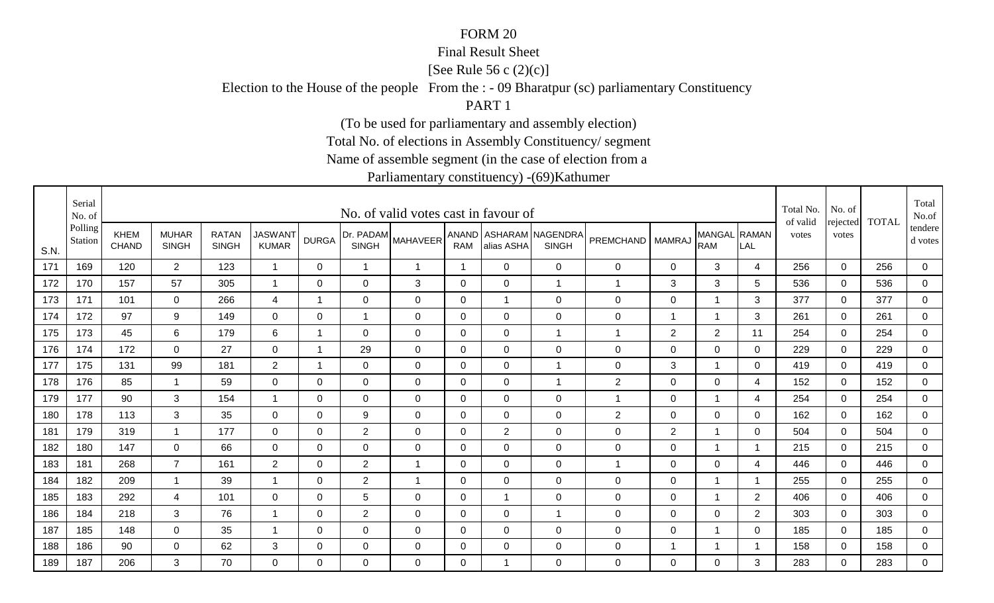### Final Result Sheet

[See Rule 56 c (2)(c)]

Election to the House of the people From the : - 09 Bharatpur (sc) parliamentary Constituency

PART 1

(To be used for parliamentary and assembly election)

Total No. of elections in Assembly Constituency/ segment

Name of assemble segment (in the case of election from a

|      | Serial<br>No. of   |                             |                              |                              |                                |                |                           | No. of valid votes cast in favour of |              |                |                                        |                  |                |                            |                | Total No.<br>of valid | No. of<br>rejected | <b>TOTAL</b> | Total<br>No.of       |
|------|--------------------|-----------------------------|------------------------------|------------------------------|--------------------------------|----------------|---------------------------|--------------------------------------|--------------|----------------|----------------------------------------|------------------|----------------|----------------------------|----------------|-----------------------|--------------------|--------------|----------------------|
| S.N. | Polling<br>Station | <b>KHEM</b><br><b>CHAND</b> | <b>MUHAR</b><br><b>SINGH</b> | <b>RATAN</b><br><b>SINGH</b> | <b>JASWANT</b><br><b>KUMAR</b> | <b>DURGA</b>   | Dr. PADAM<br><b>SINGH</b> | <b>MAHAVEER</b>                      | <b>RAM</b>   | alias ASHA     | ANAND ASHARAM NAGENDRA<br><b>SINGH</b> | <b>PREMCHAND</b> | <b>MAMRAJ</b>  | MANGAL RAMAN<br><b>RAM</b> | LAL            | votes                 | votes              |              | tendere  <br>d votes |
| 171  | 169                | 120                         | $2^{\circ}$                  | 123                          | $\overline{1}$                 | $\Omega$       | $\overline{1}$            | $\mathbf{1}$                         | $\mathbf{1}$ | $\Omega$       | $\mathbf 0$                            | $\mathbf 0$      | 0              | 3                          | 4              | 256                   | $\mathbf 0$        | 256          | 0                    |
| 172  | 170                | 157                         | 57                           | 305                          | -1                             | 0              | 0                         | 3                                    | $\mathbf 0$  | $\Omega$       | $\overline{1}$                         | 1                | 3              | 3                          | 5              | 536                   | 0                  | 536          | $\overline{0}$       |
| 173  | 171                | 101                         | $\mathbf 0$                  | 266                          | 4                              | 1              | 0                         | 0                                    | 0            |                | $\mathbf 0$                            | $\mathbf 0$      | 0              | $\mathbf 1$                | 3              | 377                   | 0                  | 377          | 0                    |
| 174  | 172                | 97                          | 9                            | 149                          | 0                              | 0              | 1                         | 0                                    | 0            | $\Omega$       | $\mathbf 0$                            | $\mathbf 0$      | $\mathbf 1$    |                            | 3              | 261                   | $\Omega$           | 261          | 0                    |
| 175  | 173                | 45                          | 6                            | 179                          | 6                              | $\mathbf 1$    | $\mathbf 0$               | $\mathbf 0$                          | $\mathbf 0$  | $\Omega$       | $\overline{1}$                         | 1                | 2              | $\overline{2}$             | 11             | 254                   | $\Omega$           | 254          | $\overline{0}$       |
| 176  | 174                | 172                         | $\overline{0}$               | 27                           | $\mathbf 0$                    | $\overline{1}$ | 29                        | $\mathbf 0$                          | $\mathbf 0$  | $\overline{0}$ | $\mathbf 0$                            | $\boldsymbol{0}$ | $\mathbf 0$    | $\mathbf 0$                | $\mathbf 0$    | 229                   | $\mathbf 0$        | 229          | $\overline{0}$       |
| 177  | 175                | 131                         | 99                           | 181                          | $\overline{2}$                 | -1             | $\mathbf 0$               | $\mathbf 0$                          | $\mathbf 0$  | $\mathbf 0$    | $\overline{1}$                         | $\boldsymbol{0}$ | 3              | 1                          | $\Omega$       | 419                   | $\Omega$           | 419          | 0                    |
| 178  | 176                | 85                          | $\mathbf{1}$                 | 59                           | $\overline{0}$                 | 0              | $\mathbf 0$               | $\mathbf 0$                          | 0            | $\overline{0}$ | $\overline{1}$                         | $\overline{2}$   | $\mathbf 0$    | $\mathbf 0$                | 4              | 152                   | $\mathbf 0$        | 152          | 0                    |
| 179  | 177                | 90                          | 3                            | 154                          | -1                             | $\Omega$       | 0                         | $\mathbf 0$                          | 0            | 0              | $\mathbf 0$                            | 1                | $\mathbf 0$    | 1                          | 4              | 254                   | $\mathbf 0$        | 254          | 0                    |
| 180  | 178                | 113                         | 3                            | 35                           | $\mathbf 0$                    | $\Omega$       | 9                         | $\mathbf 0$                          | $\mathbf 0$  | $\mathbf 0$    | $\mathbf 0$                            | $\mathbf{2}$     | $\mathbf 0$    | $\mathbf 0$                | $\Omega$       | 162                   | $\mathbf 0$        | 162          | $\overline{0}$       |
| 181  | 179                | 319                         | $\mathbf{1}$                 | 177                          | $\mathbf 0$                    | 0              | $\overline{2}$            | $\mathbf 0$                          | 0            | $\overline{2}$ | $\mathbf 0$                            | $\mathbf 0$      | $\overline{2}$ | 1                          | 0              | 504                   | 0                  | 504          | $\overline{0}$       |
| 182  | 180                | 147                         | $\Omega$                     | 66                           | $\mathbf 0$                    | $\Omega$       | $\mathbf 0$               | $\mathbf 0$                          | 0            | $\overline{0}$ | $\mathbf 0$                            | $\mathbf 0$      | $\mathbf 0$    | 1                          | -1             | 215                   | $\Omega$           | 215          | 0                    |
| 183  | 181                | 268                         | $\overline{7}$               | 161                          | $\overline{2}$                 | 0              | $\overline{c}$            | $\overline{1}$                       | 0            | $\Omega$       | $\mathbf 0$                            | 1                | $\mathbf 0$    | $\mathbf 0$                | 4              | 446                   | $\mathbf 0$        | 446          | $\overline{0}$       |
| 184  | 182                | 209                         | $\mathbf 1$                  | 39                           | -1                             | $\Omega$       | $\overline{2}$            | $\mathbf{1}$                         | $\mathbf{0}$ | $\Omega$       | $\mathbf 0$                            | $\mathbf 0$      | $\mathbf 0$    | 1                          | - 1            | 255                   | $\Omega$           | 255          | 0                    |
| 185  | 183                | 292                         | $\overline{4}$               | 101                          | $\mathbf 0$                    | $\mathbf 0$    | 5                         | $\mathbf 0$                          | $\mathbf 0$  |                | $\mathbf 0$                            | $\boldsymbol{0}$ | $\mathbf 0$    | 1                          | $\overline{2}$ | 406                   | $\overline{0}$     | 406          | $\mathbf 0$          |
| 186  | 184                | 218                         | 3                            | 76                           | -1                             | 0              | $\overline{2}$            | $\mathbf 0$                          | 0            | 0              | $\overline{1}$                         | $\mathbf 0$      | $\mathbf 0$    | 0                          | $\overline{2}$ | 303                   | $\Omega$           | 303          | $\mathbf 0$          |
| 187  | 185                | 148                         | $\overline{0}$               | 35                           |                                | 0              | $\mathbf 0$               | $\mathbf 0$                          | 0            | 0              | $\mathbf 0$                            | 0                | $\mathbf 0$    |                            | 0              | 185                   | $\mathbf 0$        | 185          | 0                    |
| 188  | 186                | 90                          | $\mathbf 0$                  | 62                           | 3                              | 0              | $\mathbf 0$               | $\mathbf 0$                          | 0            | 0              | $\mathbf 0$                            | $\mathbf 0$      | -1             |                            |                | 158                   | $\mathbf 0$        | 158          | $\overline{0}$       |
| 189  | 187                | 206                         | 3                            | 70                           | $\Omega$                       | $\Omega$       | 0                         | $\Omega$                             | $\Omega$     |                | $\mathbf 0$                            | 0                | $\Omega$       | 0                          | 3              | 283                   | $\Omega$           | 283          | $\overline{0}$       |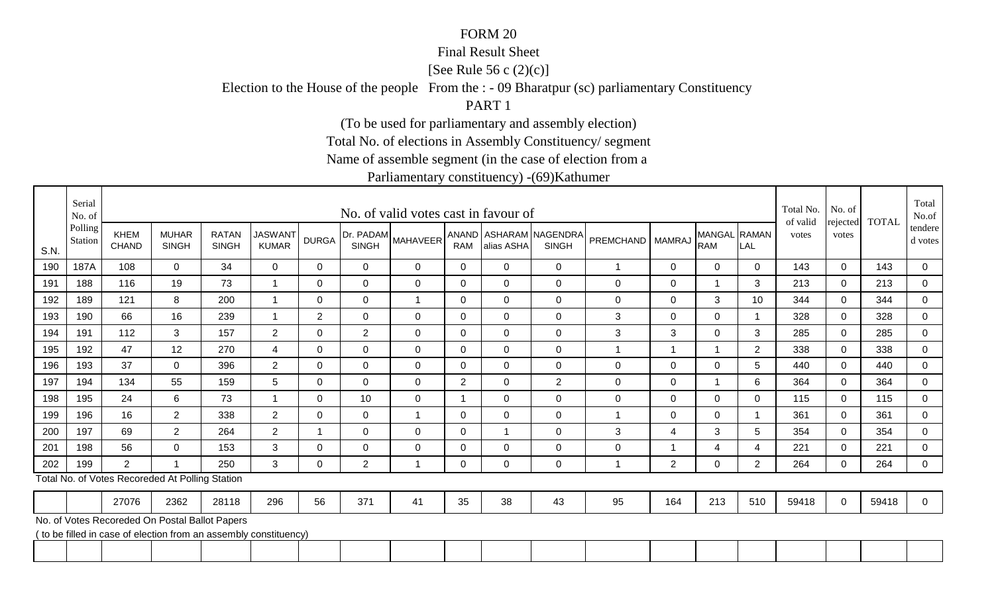### Final Result Sheet

[See Rule 56 c (2)(c)]

Election to the House of the people From the : - 09 Bharatpur (sc) parliamentary Constituency

PART 1

(To be used for parliamentary and assembly election)

Total No. of elections in Assembly Constituency/ segment

Name of assemble segment (in the case of election from a

|      | Serial<br>No. of   |                             |                                                                   |                              |                                |                |                | No. of valid votes cast in favour of |                |                |                                        |                    |                |                            |                | Total No.<br>of valid | No. of<br>rejected | <b>TOTAL</b> | Total<br>No.of     |
|------|--------------------|-----------------------------|-------------------------------------------------------------------|------------------------------|--------------------------------|----------------|----------------|--------------------------------------|----------------|----------------|----------------------------------------|--------------------|----------------|----------------------------|----------------|-----------------------|--------------------|--------------|--------------------|
| S.N. | Polling<br>Station | <b>KHEM</b><br><b>CHAND</b> | <b>MUHAR</b><br><b>SINGH</b>                                      | <b>RATAN</b><br><b>SINGH</b> | <b>JASWAN1</b><br><b>KUMAR</b> | <b>DURGA</b>   | <b>SINGH</b>   | Dr. PADAM MAHAVEER                   | <b>RAM</b>     | alias ASHA     | ANAND ASHARAM NAGENDRA<br><b>SINGH</b> | PREMCHAND   MAMRAJ |                | MANGAL RAMAN<br><b>RAM</b> | LAL            | votes                 | votes              |              | tendere<br>d votes |
| 190  | 187A               | 108                         | $\Omega$                                                          | 34                           | $\mathbf{0}$                   | $\Omega$       | $\Omega$       | $\mathbf 0$                          | $\Omega$       | $\Omega$       | 0                                      |                    | 0              | $\overline{0}$             | $\overline{0}$ | 143                   | $\overline{0}$     | 143          | $\overline{0}$     |
| 191  | 188                | 116                         | 19                                                                | 73                           | 1                              | $\Omega$       | $\Omega$       | $\mathbf 0$                          | $\Omega$       | $\mathbf 0$    | $\mathbf 0$                            | 0                  | $\mathbf 0$    | $\mathbf{1}$               | 3              | 213                   | $\mathbf 0$        | 213          | $\mathbf 0$        |
| 192  | 189                | 121                         | 8                                                                 | 200                          | -1                             | $\Omega$       | $\Omega$       | 1                                    | $\overline{0}$ | $\Omega$       | $\overline{0}$                         | 0                  | 0              | 3                          | 10             | 344                   | $\mathbf 0$        | 344          | $\mathbf 0$        |
| 193  | 190                | 66                          | 16                                                                | 239                          | $\overline{\mathbf{A}}$        | $\overline{2}$ | $\overline{0}$ | $\mathbf 0$                          | $\Omega$       | $\mathbf 0$    | $\mathbf 0$                            | 3                  | $\mathbf 0$    | $\overline{0}$             |                | 328                   | $\mathbf 0$        | 328          | $\mathbf 0$        |
| 194  | 191                | 112                         | 3                                                                 | 157                          | $\overline{2}$                 | 0              | $\overline{2}$ | 0                                    | $\Omega$       | $\Omega$       | 0                                      | 3                  | 3              | 0                          | 3              | 285                   | 0                  | 285          | $\mathbf 0$        |
| 195  | 192                | 47                          | 12                                                                | 270                          | 4                              | $\Omega$       | $\Omega$       | 0                                    | 0              | $\overline{0}$ | $\mathbf 0$                            |                    | 1              | -1                         | $\overline{2}$ | 338                   | $\mathbf 0$        | 338          | $\mathbf 0$        |
| 196  | 193                | 37                          | $\Omega$                                                          | 396                          | $\overline{2}$                 | $\overline{0}$ | $\overline{0}$ | $\mathbf 0$                          | $\overline{0}$ | $\overline{0}$ | $\mathbf 0$                            | 0                  | $\mathbf 0$    | $\overline{0}$             | 5              | 440                   | $\mathbf 0$        | 440          | $\mathbf 0$        |
| 197  | 194                | 134                         | 55                                                                | 159                          | 5                              | 0              | 0              | 0                                    | 2              | 0              | 2                                      | 0                  | 0              | $\mathbf 1$                | 6              | 364                   | 0                  | 364          | $\mathbf 0$        |
| 198  | 195                | 24                          | 6                                                                 | 73                           | -1                             | $\Omega$       | 10             | $\mathbf 0$                          | $\overline{1}$ | $\mathbf 0$    | $\mathbf 0$                            | 0                  | $\pmb{0}$      | $\mathbf 0$                | $\Omega$       | 115                   | 0                  | 115          | $\mathbf 0$        |
| 199  | 196                | 16                          | $\overline{2}$                                                    | 338                          | $\overline{2}$                 | $\Omega$       | $\Omega$       | $\overline{1}$                       | $\Omega$       | $\Omega$       | $\Omega$                               | 1                  | 0              | $\mathbf 0$                |                | 361                   | $\mathbf{0}$       | 361          | $\Omega$           |
| 200  | 197                | 69                          | $\overline{2}$                                                    | 264                          | $\overline{2}$                 |                | $\Omega$       | 0                                    | 0              | -1             | $\mathbf 0$                            | 3                  | 4              | 3                          | 5              | 354                   | $\mathbf{0}$       | 354          | $\mathbf 0$        |
| 201  | 198                | 56                          | $\Omega$                                                          | 153                          | 3                              | $\Omega$       | $\mathbf 0$    | $\mathbf 0$                          | $\overline{0}$ | $\overline{0}$ | $\mathbf 0$                            | 0                  | 1              | 4                          | $\overline{4}$ | 221                   | $\mathbf 0$        | 221          | $\mathbf 0$        |
| 202  | 199                | 2                           |                                                                   | 250                          | 3                              | 0              | 2              | 1                                    | $\Omega$       | $\Omega$       | $\mathbf 0$                            |                    | $\overline{2}$ | $\mathbf 0$                | 2              | 264                   | $\Omega$           | 264          | $\overline{0}$     |
|      |                    |                             | Total No. of Votes Recoreded At Polling Station                   |                              |                                |                |                |                                      |                |                |                                        |                    |                |                            |                |                       |                    |              |                    |
|      |                    | 27076                       | 2362                                                              | 28118                        | 296                            | 56             | 371            | 41                                   | 35             | 38             | 43                                     | 95                 | 164            | 213                        | 510            | 59418                 | $\mathbf{0}$       | 59418        | $\mathbf 0$        |
|      |                    |                             | No. of Votes Recoreded On Postal Ballot Papers                    |                              |                                |                |                |                                      |                |                |                                        |                    |                |                            |                |                       |                    |              |                    |
|      |                    |                             | ( to be filled in case of election from an assembly constituency) |                              |                                |                |                |                                      |                |                |                                        |                    |                |                            |                |                       |                    |              |                    |
|      |                    |                             |                                                                   |                              |                                |                |                |                                      |                |                |                                        |                    |                |                            |                |                       |                    |              |                    |